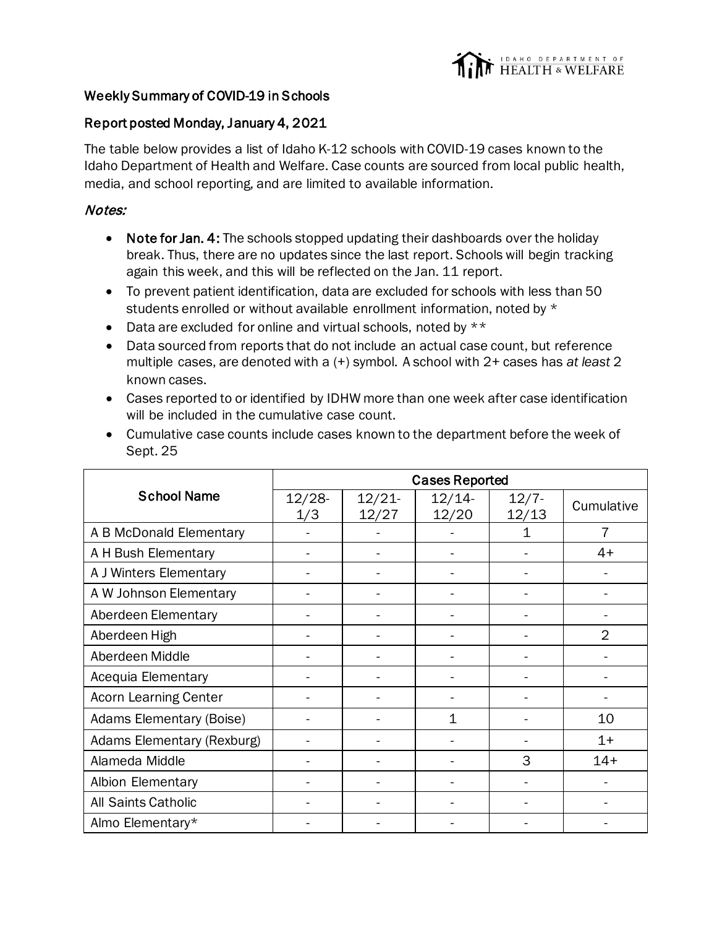

## Weekly Summary of COVID-19 in Schools

## Report posted Monday, January 4, 2021

The table below provides a list of Idaho K-12 schools with COVID-19 cases known to the Idaho Department of Health and Welfare. Case counts are sourced from local public health, media, and school reporting, and are limited to available information.

## Notes:

- Note for Jan. 4: The schools stopped updating their dashboards over the holiday break. Thus, there are no updates since the last report. Schools will begin tracking again this week, and this will be reflected on the Jan. 11 report.
- To prevent patient identification, data are excluded for schools with less than 50 students enrolled or without available enrollment information, noted by \*
- Data are excluded for online and virtual schools, noted by \*\*
- Data sourced from reports that do not include an actual case count, but reference multiple cases, are denoted with a (+) symbol. A school with 2+ cases has *at least* 2 known cases.
- Cases reported to or identified by IDHW more than one week after case identification will be included in the cumulative case count.
- Cumulative case counts include cases known to the department before the week of Sept. 25

|                              | <b>Cases Reported</b> |                |                |                   |                |
|------------------------------|-----------------------|----------------|----------------|-------------------|----------------|
| <b>School Name</b>           | $12/28 -$<br>1/3      | 12/21<br>12/27 | 12/14<br>12/20 | $12/7 -$<br>12/13 | Cumulative     |
| A B McDonald Elementary      |                       |                |                | 1                 | 7              |
| A H Bush Elementary          |                       |                |                |                   | $4+$           |
| A J Winters Elementary       |                       |                |                |                   |                |
| A W Johnson Elementary       |                       |                |                |                   |                |
| Aberdeen Elementary          |                       |                |                |                   |                |
| Aberdeen High                |                       |                |                |                   | $\overline{2}$ |
| Aberdeen Middle              |                       |                |                |                   |                |
| Acequia Elementary           |                       |                |                |                   |                |
| <b>Acorn Learning Center</b> |                       |                |                |                   |                |
| Adams Elementary (Boise)     |                       |                | 1              |                   | 10             |
| Adams Elementary (Rexburg)   |                       |                |                |                   | $1+$           |
| Alameda Middle               |                       |                |                | 3                 | $14+$          |
| Albion Elementary            |                       |                |                |                   |                |
| All Saints Catholic          |                       |                |                |                   |                |
| Almo Elementary*             |                       |                |                |                   |                |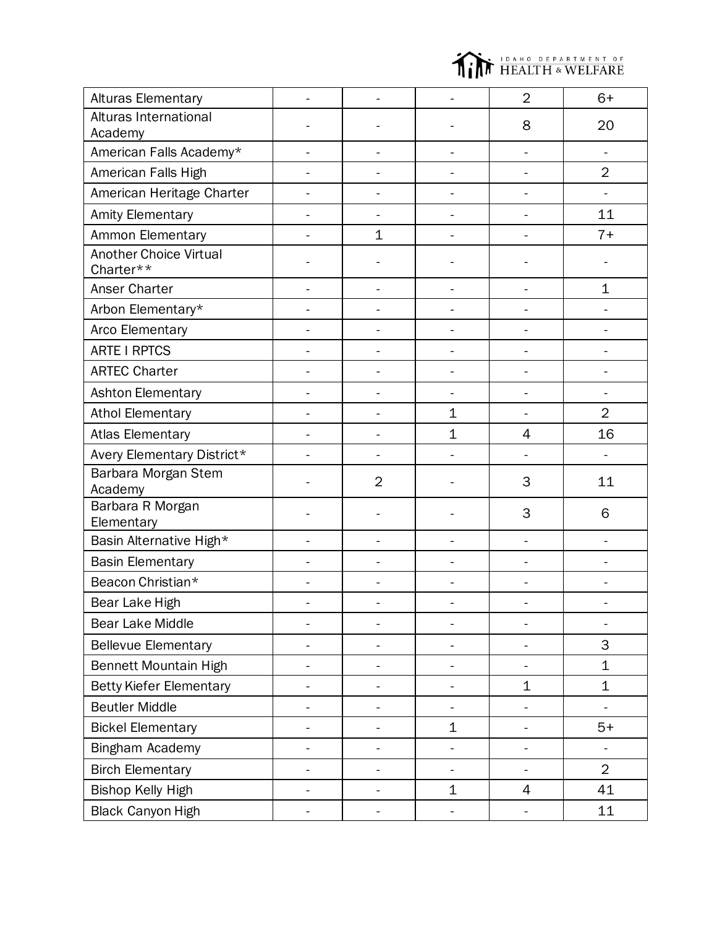

| <b>Alturas Elementary</b>                  |                |                |                | $\overline{2}$           | $6+$           |
|--------------------------------------------|----------------|----------------|----------------|--------------------------|----------------|
| Alturas International                      |                |                |                | 8                        | 20             |
| Academy                                    |                |                |                |                          |                |
| American Falls Academy*                    |                |                |                |                          | L.             |
| American Falls High                        |                |                |                |                          | $\overline{2}$ |
| American Heritage Charter                  |                |                |                |                          |                |
| <b>Amity Elementary</b>                    |                |                |                |                          | 11             |
| Ammon Elementary                           |                | $\mathbf 1$    |                |                          | $7+$           |
| <b>Another Choice Virtual</b><br>Charter** |                |                |                |                          |                |
| Anser Charter                              |                | L.             |                | L,                       | $\mathbf 1$    |
| Arbon Elementary*                          |                |                |                |                          |                |
| Arco Elementary                            |                |                |                |                          |                |
| <b>ARTE I RPTCS</b>                        |                |                |                |                          |                |
| <b>ARTEC Charter</b>                       |                |                |                |                          |                |
| Ashton Elementary                          |                |                |                |                          |                |
| <b>Athol Elementary</b>                    |                |                | $\mathbf{1}$   |                          | $\overline{2}$ |
| <b>Atlas Elementary</b>                    |                |                | $\mathbf 1$    | 4                        | 16             |
| Avery Elementary District*                 |                |                |                |                          |                |
| Barbara Morgan Stem<br>Academy             |                | $\overline{2}$ |                | 3                        | 11             |
| Barbara R Morgan<br>Elementary             |                |                |                | 3                        | 6              |
| Basin Alternative High*                    |                | L.             |                | L,                       |                |
| <b>Basin Elementary</b>                    |                |                |                |                          |                |
| Beacon Christian*                          |                |                |                |                          |                |
| Bear Lake High                             |                |                |                |                          |                |
| Bear Lake Middle                           |                | $\overline{a}$ |                |                          | $\overline{a}$ |
| <b>Bellevue Elementary</b>                 | $\overline{a}$ | -              | -              | -                        | 3              |
| Bennett Mountain High                      |                | $\overline{a}$ | ÷.             | $\overline{a}$           | $\mathbf 1$    |
| <b>Betty Kiefer Elementary</b>             |                |                |                | 1                        | $\mathbf 1$    |
| <b>Beutler Middle</b>                      |                | -              | $\blacksquare$ |                          |                |
| <b>Bickel Elementary</b>                   |                | -              | $\mathbf 1$    | -                        | $5+$           |
| Bingham Academy                            |                | $\overline{a}$ |                | $\overline{\phantom{0}}$ |                |
| <b>Birch Elementary</b>                    |                |                |                |                          | $\overline{2}$ |
| <b>Bishop Kelly High</b>                   |                | $\overline{a}$ | $\mathbf 1$    | 4                        | 41             |
| <b>Black Canyon High</b>                   |                | -              |                | -                        | 11             |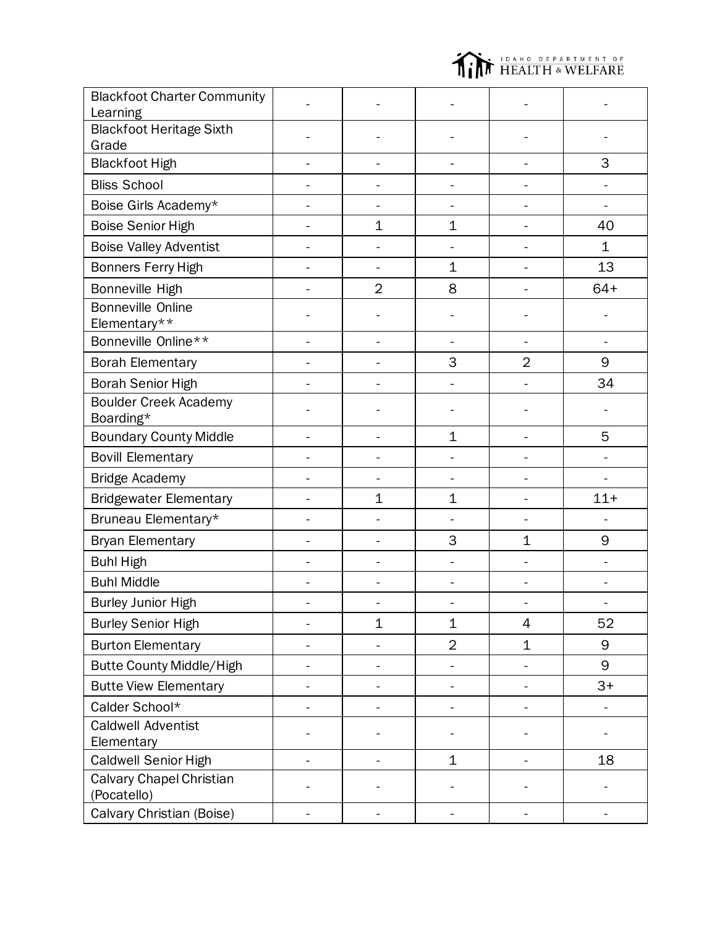

| <b>Blackfoot Charter Community</b><br>Learning |                |                |                |        |
|------------------------------------------------|----------------|----------------|----------------|--------|
| <b>Blackfoot Heritage Sixth</b><br>Grade       |                |                |                |        |
| <b>Blackfoot High</b>                          | ÷,             | -              | -              | 3      |
| <b>Bliss School</b>                            |                |                |                |        |
| Boise Girls Academy*                           |                |                |                |        |
| <b>Boise Senior High</b>                       | $\mathbf 1$    | $\mathbf{1}$   |                | 40     |
| <b>Boise Valley Adventist</b>                  |                |                |                | 1      |
| Bonners Ferry High                             |                | $\mathbf 1$    |                | 13     |
| Bonneville High                                | $\overline{2}$ | 8              |                | $64+$  |
| <b>Bonneville Online</b><br>Elementary**       |                |                |                |        |
| Bonneville Online**                            | $\overline{a}$ | -              |                |        |
| <b>Borah Elementary</b>                        |                | 3              | $\overline{2}$ | 9      |
| <b>Borah Senior High</b>                       |                |                |                | 34     |
| <b>Boulder Creek Academy</b><br>Boarding*      |                |                |                |        |
| <b>Boundary County Middle</b>                  |                | $\mathbf 1$    |                | 5      |
| <b>Bovill Elementary</b>                       |                |                |                |        |
| <b>Bridge Academy</b>                          |                |                |                |        |
| <b>Bridgewater Elementary</b>                  | $\mathbf 1$    | $\mathbf 1$    | Ē,             | $11 +$ |
| Bruneau Elementary*                            |                |                |                |        |
| <b>Bryan Elementary</b>                        | ۳              | 3              | $\mathbf 1$    | 9      |
| <b>Buhl High</b>                               |                |                |                |        |
| <b>Buhl Middle</b>                             |                |                |                |        |
| <b>Burley Junior High</b>                      |                |                |                |        |
| <b>Burley Senior High</b>                      | $\mathbf 1$    | $\mathbf 1$    | 4              | 52     |
| <b>Burton Elementary</b>                       |                | $\overline{2}$ | 1              | 9      |
| Butte County Middle/High                       |                |                |                | 9      |
| <b>Butte View Elementary</b>                   |                |                |                | $3+$   |
| Calder School*                                 |                |                |                |        |
| <b>Caldwell Adventist</b><br>Elementary        |                |                |                |        |
| <b>Caldwell Senior High</b>                    |                | $\mathbf 1$    |                | 18     |
| Calvary Chapel Christian<br>(Pocatello)        |                |                |                |        |
| Calvary Christian (Boise)                      | $\overline{a}$ |                |                |        |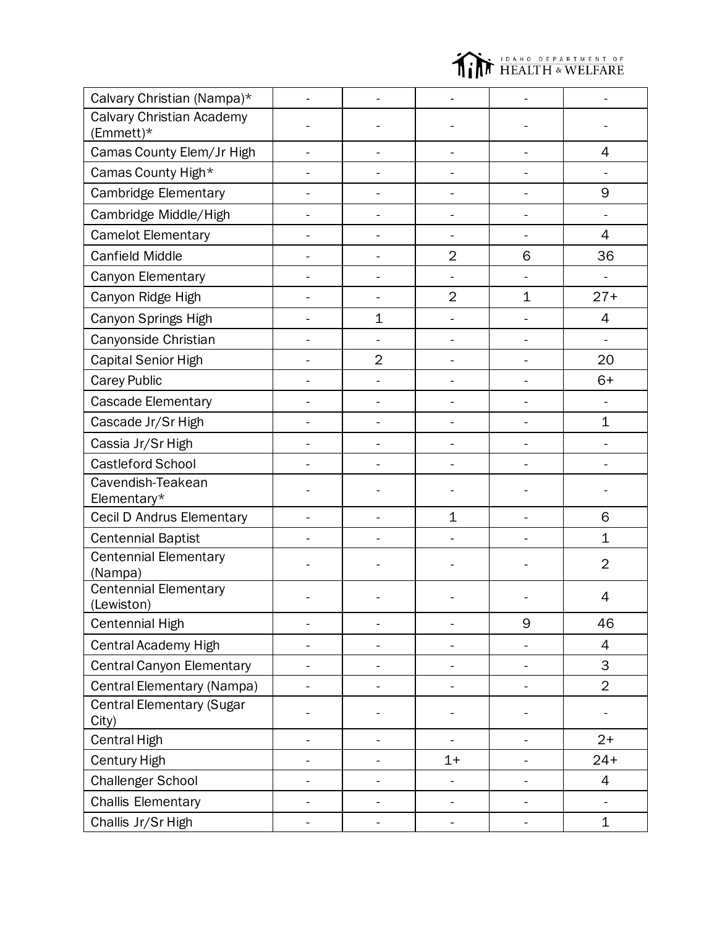

| Calvary Christian (Nampa)*                |                |                          |                          |                          |                |
|-------------------------------------------|----------------|--------------------------|--------------------------|--------------------------|----------------|
| Calvary Christian Academy<br>(Emmett)*    |                |                          |                          |                          |                |
| Camas County Elem/Jr High                 |                | $\blacksquare$           | $\overline{\phantom{a}}$ |                          | 4              |
| Camas County High*                        |                |                          |                          |                          |                |
| <b>Cambridge Elementary</b>               |                |                          |                          |                          | 9              |
| Cambridge Middle/High                     |                | -                        |                          |                          |                |
| <b>Camelot Elementary</b>                 |                |                          |                          |                          | 4              |
| <b>Canfield Middle</b>                    |                |                          | $\overline{2}$           | 6                        | 36             |
| Canyon Elementary                         |                |                          |                          |                          |                |
| Canyon Ridge High                         |                |                          | $\overline{2}$           | 1                        | $27+$          |
| Canyon Springs High                       |                | $\mathbf 1$              |                          |                          | 4              |
| Canyonside Christian                      |                |                          |                          |                          |                |
| Capital Senior High                       |                | $\overline{2}$           |                          |                          | 20             |
| <b>Carey Public</b>                       |                |                          |                          |                          | $6+$           |
| Cascade Elementary                        |                |                          |                          |                          |                |
| Cascade Jr/Sr High                        |                |                          |                          | $\overline{a}$           | $\mathbf 1$    |
| Cassia Jr/Sr High                         |                |                          |                          |                          |                |
| Castleford School                         |                |                          |                          |                          |                |
| Cavendish-Teakean<br>Elementary*          |                |                          |                          |                          |                |
| Cecil D Andrus Elementary                 | L.             | -                        | $\mathbf{1}$             |                          | 6              |
| <b>Centennial Baptist</b>                 |                |                          |                          |                          | 1              |
| <b>Centennial Elementary</b><br>(Nampa)   |                |                          |                          |                          | $\overline{2}$ |
| Centennial Elementary<br>(Lewiston)       |                |                          |                          |                          | 4              |
| <b>Centennial High</b>                    |                |                          |                          | 9                        | 46             |
| Central Academy High                      |                | $\blacksquare$           |                          | $\overline{\phantom{0}}$ | 4              |
| <b>Central Canyon Elementary</b>          | $\blacksquare$ | -                        | $\overline{\phantom{0}}$ | -                        | 3              |
| Central Elementary (Nampa)                |                |                          | -                        | -                        | $\overline{2}$ |
| <b>Central Elementary (Sugar</b><br>City) |                |                          |                          |                          |                |
| <b>Central High</b>                       |                |                          |                          |                          | $2+$           |
| Century High                              |                |                          | $1+$                     |                          | $24+$          |
| <b>Challenger School</b>                  |                |                          |                          |                          | $\overline{4}$ |
| <b>Challis Elementary</b>                 |                |                          | $\overline{\phantom{0}}$ | -                        |                |
| Challis Jr/Sr High                        | 4              | $\overline{\phantom{0}}$ | $\overline{\phantom{0}}$ | $\overline{\phantom{0}}$ | 1              |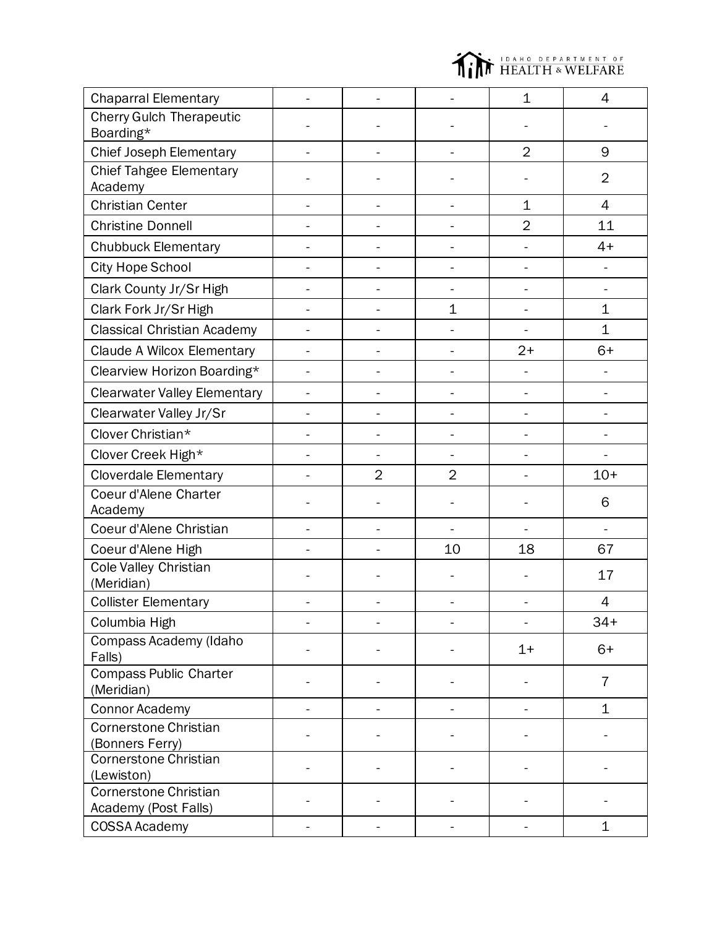

| <b>Chaparral Elementary</b>                 |                          |                | $\mathbf 1$              | 4              |
|---------------------------------------------|--------------------------|----------------|--------------------------|----------------|
| <b>Cherry Gulch Therapeutic</b>             |                          |                |                          |                |
| Boarding*                                   |                          |                |                          |                |
| <b>Chief Joseph Elementary</b>              |                          |                | $\overline{2}$           | 9              |
| <b>Chief Tahgee Elementary</b><br>Academy   |                          |                |                          | $\overline{2}$ |
| <b>Christian Center</b>                     |                          | $\overline{a}$ | $\mathbf 1$              | 4              |
| <b>Christine Donnell</b>                    |                          |                | $\overline{2}$           | 11             |
| <b>Chubbuck Elementary</b>                  |                          |                |                          | $4+$           |
| City Hope School                            | -                        |                | $\overline{\phantom{0}}$ |                |
| Clark County Jr/Sr High                     | $\overline{\phantom{0}}$ |                | ÷,                       |                |
| Clark Fork Jr/Sr High                       |                          | $\mathbf{1}$   |                          | 1              |
| <b>Classical Christian Academy</b>          |                          |                | $\blacksquare$           | $\overline{1}$ |
| Claude A Wilcox Elementary                  |                          |                | $2+$                     | $6+$           |
| Clearview Horizon Boarding*                 |                          |                |                          |                |
| <b>Clearwater Valley Elementary</b>         |                          |                |                          |                |
| Clearwater Valley Jr/Sr                     |                          |                |                          |                |
| Clover Christian*                           | $\blacksquare$           | ÷,             |                          |                |
| Clover Creek High*                          | $\blacksquare$           |                |                          |                |
| <b>Cloverdale Elementary</b>                | $\overline{2}$           | $\overline{2}$ |                          | $10+$          |
| Coeur d'Alene Charter                       |                          |                |                          | 6              |
| Academy                                     |                          |                |                          |                |
| Coeur d'Alene Christian                     |                          |                |                          | $\blacksquare$ |
| Coeur d'Alene High                          |                          | 10             | 18                       | 67             |
| <b>Cole Valley Christian</b><br>(Meridian)  |                          |                |                          | 17             |
| <b>Collister Elementary</b>                 |                          |                |                          | 4              |
| Columbia High                               |                          |                |                          | $34+$          |
| Compass Academy (Idaho<br>Falls)            |                          |                | $1+$                     | $6+$           |
| <b>Compass Public Charter</b><br>(Meridian) |                          |                |                          | $\overline{7}$ |
| <b>Connor Academy</b>                       |                          |                |                          | $\mathbf{1}$   |
| <b>Cornerstone Christian</b>                |                          |                |                          |                |
| (Bonners Ferry)                             |                          |                |                          |                |
| <b>Cornerstone Christian</b><br>(Lewiston)  |                          |                |                          |                |
| <b>Cornerstone Christian</b>                |                          |                |                          |                |
| Academy (Post Falls)                        |                          |                |                          |                |
| <b>COSSA Academy</b>                        |                          |                |                          | $\mathbf 1$    |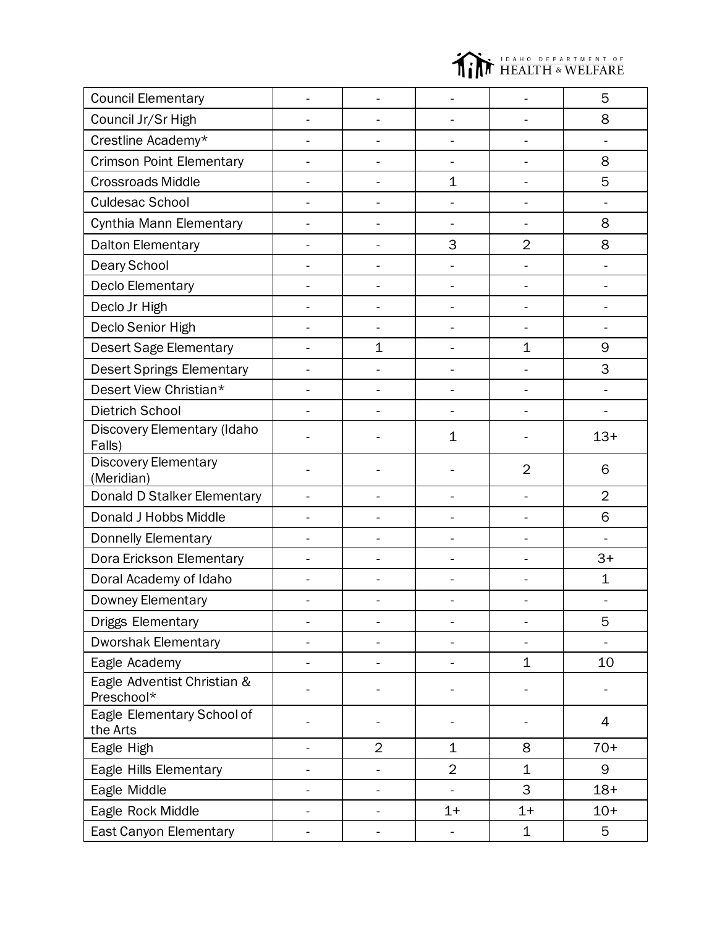

| <b>Council Elementary</b>                 |    |                          |                          |                          | 5              |
|-------------------------------------------|----|--------------------------|--------------------------|--------------------------|----------------|
| Council Jr/Sr High                        |    |                          |                          |                          | 8              |
| Crestline Academy*                        |    | $\overline{a}$           | $\frac{1}{2}$            | ÷                        |                |
| <b>Crimson Point Elementary</b>           |    | -                        | $\overline{\phantom{0}}$ | ÷                        | 8              |
| <b>Crossroads Middle</b>                  |    | $\overline{\phantom{a}}$ | $\mathbf 1$              | ÷                        | 5              |
| <b>Culdesac School</b>                    |    |                          |                          |                          |                |
| Cynthia Mann Elementary                   |    |                          |                          |                          | 8              |
| Dalton Elementary                         |    | -                        | 3                        | $\overline{2}$           | 8              |
| Deary School                              |    |                          |                          |                          |                |
| Declo Elementary                          |    |                          |                          |                          |                |
| Declo Jr High                             |    |                          |                          |                          |                |
| Declo Senior High                         |    |                          |                          |                          |                |
| <b>Desert Sage Elementary</b>             |    | $\mathbf 1$              | L.                       | $\mathbf 1$              | 9              |
| <b>Desert Springs Elementary</b>          |    |                          |                          |                          | 3              |
| Desert View Christian*                    |    |                          | $\ddot{ }$               | L,                       |                |
| Dietrich School                           |    |                          |                          |                          |                |
| Discovery Elementary (Idaho<br>Falls)     |    |                          | $\mathbf{1}$             |                          | $13+$          |
| <b>Discovery Elementary</b><br>(Meridian) |    |                          |                          | $\overline{2}$           | 6              |
| Donald D Stalker Elementary               |    |                          |                          |                          | $\overline{2}$ |
| Donald J Hobbs Middle                     |    |                          |                          |                          | 6              |
| Donnelly Elementary                       |    |                          |                          |                          |                |
| Dora Erickson Elementary                  |    |                          | $\overline{a}$           | $\overline{a}$           | $3+$           |
| Doral Academy of Idaho                    |    |                          |                          |                          | $\mathbf 1$    |
| Downey Elementary                         |    | $\overline{\phantom{0}}$ |                          | $\overline{\phantom{0}}$ |                |
| Driggs Elementary                         |    |                          |                          |                          | 5              |
| <b>Dworshak Elementary</b>                |    |                          |                          |                          |                |
| Eagle Academy                             |    | $\overline{\phantom{0}}$ | -                        | $\mathbf 1$              | 10             |
| Eagle Adventist Christian &<br>Preschool* |    |                          |                          |                          |                |
| Eagle Elementary School of<br>the Arts    |    |                          |                          |                          | 4              |
| Eagle High                                |    | $\overline{2}$           | $\mathbf 1$              | 8                        | $70+$          |
| Eagle Hills Elementary                    |    |                          | $\overline{2}$           | $\mathbf 1$              | 9              |
| Eagle Middle                              |    |                          |                          | 3                        | $18+$          |
| Eagle Rock Middle                         |    |                          | $1+$                     | $1+$                     | $10+$          |
| East Canyon Elementary                    | Ξ. | -                        |                          | 1                        | 5              |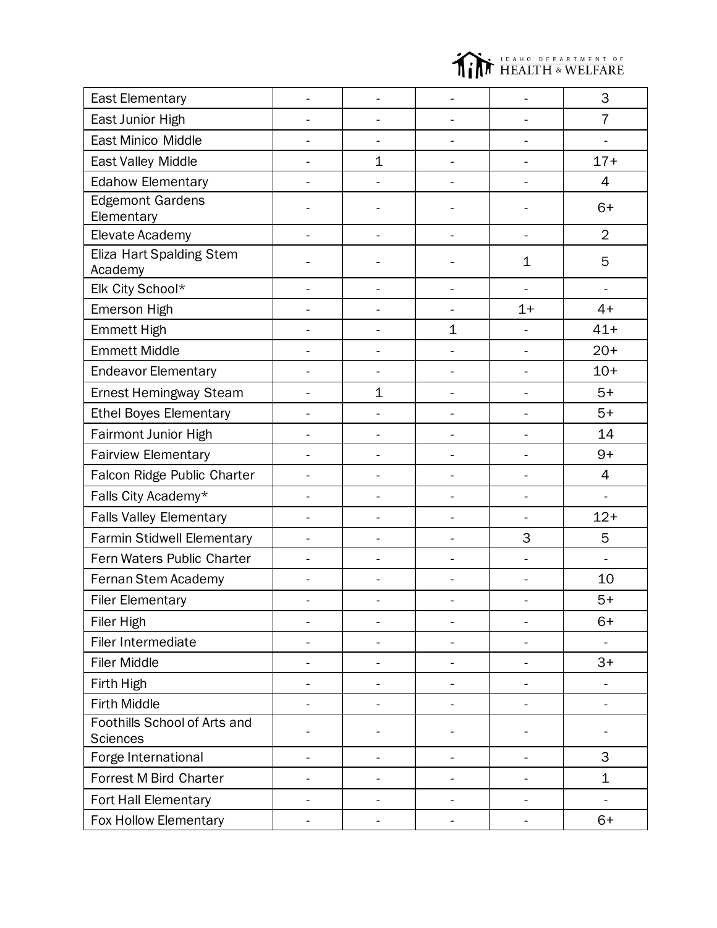

| <b>East Elementary</b>                          |    |                          |                |                              | 3              |
|-------------------------------------------------|----|--------------------------|----------------|------------------------------|----------------|
| East Junior High                                |    |                          |                |                              | $\overline{7}$ |
| East Minico Middle                              |    | $\overline{\phantom{a}}$ | ÷,             | $\blacksquare$               | $\overline{a}$ |
| East Valley Middle                              |    | $\mathbf 1$              |                |                              | $17+$          |
| <b>Edahow Elementary</b>                        |    | L,                       |                | $\blacksquare$               | 4              |
| <b>Edgemont Gardens</b><br>Elementary           |    |                          |                |                              | $6+$           |
| Elevate Academy                                 |    |                          |                |                              | $\overline{2}$ |
| Eliza Hart Spalding Stem<br>Academy             |    |                          |                | $\mathbf 1$                  | 5              |
| Elk City School*                                |    | $\overline{a}$           |                | $\frac{1}{2}$                | $\blacksquare$ |
| Emerson High                                    |    | L,                       |                | $1+$                         | $4+$           |
| <b>Emmett High</b>                              |    |                          | $\mathbf 1$    | $\qquad \qquad \blacksquare$ | $41+$          |
| <b>Emmett Middle</b>                            |    | $\overline{a}$           | ÷,             | $\frac{1}{2}$                | $20+$          |
| <b>Endeavor Elementary</b>                      |    | $\overline{a}$           |                |                              | $10+$          |
| Ernest Hemingway Steam                          | ÷. | 1                        | $\overline{a}$ | $\blacksquare$               | $5+$           |
| <b>Ethel Boyes Elementary</b>                   |    | L,                       |                |                              | $5+$           |
| Fairmont Junior High                            |    | $\overline{\phantom{0}}$ |                |                              | 14             |
| <b>Fairview Elementary</b>                      |    | L,                       |                |                              | $9+$           |
| Falcon Ridge Public Charter                     |    |                          |                |                              | 4              |
| Falls City Academy*                             |    | L,                       | $\overline{a}$ |                              | ÷.             |
| <b>Falls Valley Elementary</b>                  |    |                          |                |                              | $12+$          |
| Farmin Stidwell Elementary                      |    |                          |                | 3                            | 5              |
| Fern Waters Public Charter                      |    |                          |                | ÷,                           |                |
| Fernan Stem Academy                             |    |                          |                |                              | 10             |
| <b>Filer Elementary</b>                         |    |                          |                |                              | $5+$           |
| Filer High                                      |    |                          |                |                              | $6+$           |
| Filer Intermediate                              |    |                          |                | $\overline{\phantom{0}}$     |                |
| <b>Filer Middle</b>                             |    |                          |                |                              | $3+$           |
| Firth High                                      |    | $\overline{a}$           | -              | $\blacksquare$               |                |
| <b>Firth Middle</b>                             |    | $\overline{a}$           | ÷.             | $\blacksquare$               | $\blacksquare$ |
| Foothills School of Arts and<br><b>Sciences</b> |    |                          |                |                              | $\blacksquare$ |
| Forge International                             |    |                          |                |                              | 3              |
| <b>Forrest M Bird Charter</b>                   |    |                          |                |                              | $\mathbf 1$    |
| Fort Hall Elementary                            |    |                          |                |                              | $\frac{1}{2}$  |
| Fox Hollow Elementary                           |    |                          |                |                              | $6+$           |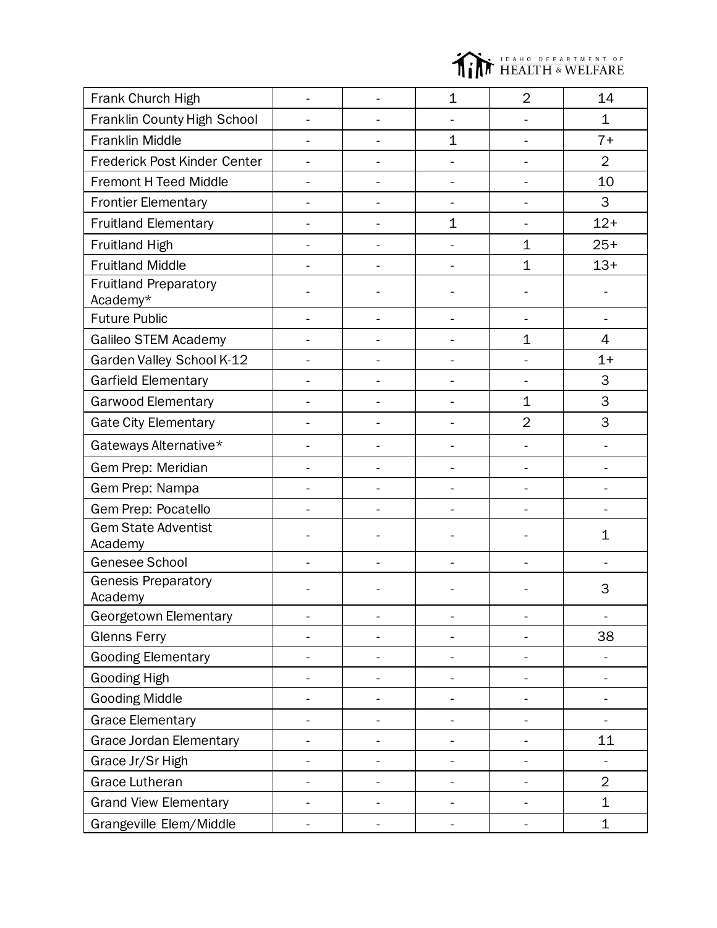

| Frank Church High                        |                |                          | $\mathbf{1}$             | $\overline{2}$               | 14                           |
|------------------------------------------|----------------|--------------------------|--------------------------|------------------------------|------------------------------|
| Franklin County High School              |                |                          |                          |                              | $\mathbf 1$                  |
| <b>Franklin Middle</b>                   |                |                          | $\mathbf 1$              |                              | $7+$                         |
| Frederick Post Kinder Center             |                | $\overline{a}$           |                          | $\overline{\phantom{0}}$     | $\overline{2}$               |
| <b>Fremont H Teed Middle</b>             |                | L.                       | ÷,                       | L,                           | 10                           |
| <b>Frontier Elementary</b>               |                | $\overline{a}$           | ÷,                       | $\blacksquare$               | 3                            |
| <b>Fruitland Elementary</b>              |                | $\blacksquare$           | $\mathbf 1$              | $\frac{1}{2}$                | $12+$                        |
| Fruitland High                           | $\mathbf{r}$   | L,                       | ä,                       | $\mathbf 1$                  | $25+$                        |
| <b>Fruitland Middle</b>                  |                |                          |                          | $\mathbf 1$                  | $13+$                        |
| <b>Fruitland Preparatory</b><br>Academy* |                |                          |                          |                              |                              |
| <b>Future Public</b>                     |                | $\frac{1}{2}$            |                          | $\frac{1}{2}$                | $\blacksquare$               |
| Galileo STEM Academy                     |                |                          |                          | 1                            | 4                            |
| Garden Valley School K-12                |                |                          |                          |                              | $1+$                         |
| Garfield Elementary                      |                |                          |                          |                              | 3                            |
| Garwood Elementary                       |                |                          |                          | $\mathbf 1$                  | 3                            |
| <b>Gate City Elementary</b>              |                |                          |                          | $\overline{2}$               | 3                            |
| Gateways Alternative*                    |                |                          |                          |                              |                              |
| Gem Prep: Meridian                       |                | $\overline{a}$           | $\overline{a}$           | $\overline{a}$               | $\overline{a}$               |
| Gem Prep: Nampa                          |                | $\overline{\phantom{0}}$ |                          |                              |                              |
| Gem Prep: Pocatello                      |                |                          |                          |                              |                              |
| <b>Gem State Adventist</b><br>Academy    |                |                          |                          |                              | $\mathbf 1$                  |
| Genesee School                           |                |                          |                          |                              |                              |
| <b>Genesis Preparatory</b><br>Academy    |                |                          |                          |                              | 3                            |
| Georgetown Elementary                    | $\blacksquare$ |                          | -                        | $\qquad \qquad \blacksquare$ | $\qquad \qquad \blacksquare$ |
| <b>Glenns Ferry</b>                      | $\blacksquare$ | $\overline{\phantom{a}}$ | $\overline{\phantom{0}}$ | $\overline{\phantom{a}}$     | 38                           |
| <b>Gooding Elementary</b>                |                | -                        | -                        | -                            | ÷                            |
| <b>Gooding High</b>                      |                |                          |                          |                              | $\overline{\phantom{0}}$     |
| <b>Gooding Middle</b>                    |                |                          |                          |                              |                              |
| <b>Grace Elementary</b>                  |                | $\overline{\phantom{0}}$ |                          |                              |                              |
| Grace Jordan Elementary                  |                | -                        |                          |                              | 11                           |
| Grace Jr/Sr High                         |                |                          |                          |                              |                              |
| <b>Grace Lutheran</b>                    |                |                          |                          |                              | $\overline{2}$               |
| <b>Grand View Elementary</b>             |                |                          |                          |                              | $\mathbf 1$                  |
| Grangeville Elem/Middle                  |                |                          |                          |                              | $\mathbf 1$                  |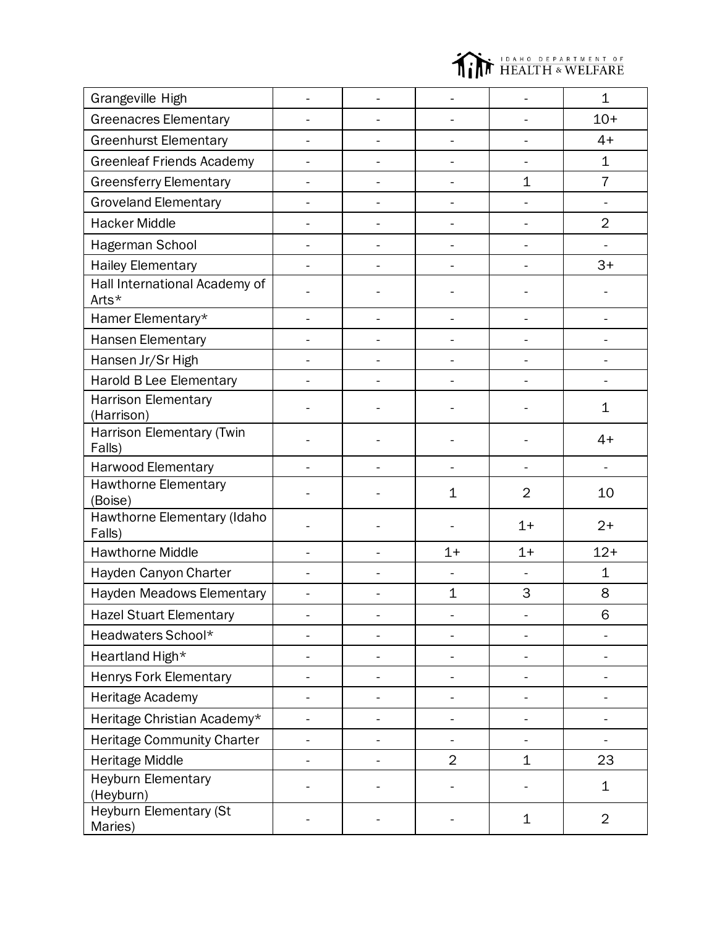

| Grangeville High                       |                          |                |                | $\mathbf 1$    |
|----------------------------------------|--------------------------|----------------|----------------|----------------|
| <b>Greenacres Elementary</b>           | $\overline{\phantom{0}}$ |                | $\blacksquare$ | $10+$          |
| <b>Greenhurst Elementary</b>           |                          |                |                | $4+$           |
| <b>Greenleaf Friends Academy</b>       |                          |                |                | $\mathbf 1$    |
| <b>Greensferry Elementary</b>          |                          |                | $\mathbf 1$    | $\overline{7}$ |
| <b>Groveland Elementary</b>            |                          |                |                |                |
| <b>Hacker Middle</b>                   |                          |                | $\blacksquare$ | $\overline{2}$ |
| Hagerman School                        |                          |                |                |                |
| <b>Hailey Elementary</b>               |                          |                |                | $3+$           |
| Hall International Academy of<br>Arts* |                          |                |                |                |
| Hamer Elementary*                      |                          |                |                |                |
| Hansen Elementary                      |                          |                |                |                |
| Hansen Jr/Sr High                      |                          |                |                |                |
| Harold B Lee Elementary                |                          |                |                |                |
| Harrison Elementary<br>(Harrison)      |                          |                |                | 1              |
| Harrison Elementary (Twin<br>Falls)    |                          |                |                | $4+$           |
| <b>Harwood Elementary</b>              |                          |                |                |                |
| <b>Hawthorne Elementary</b><br>(Boise) |                          | $\mathbf 1$    | $\overline{2}$ | 10             |
| Hawthorne Elementary (Idaho<br>Falls)  |                          |                | $1+$           | $2+$           |
| <b>Hawthorne Middle</b>                |                          | $1+$           | $1+$           | $12+$          |
| Hayden Canyon Charter                  |                          |                |                | $\mathbf 1$    |
| <b>Hayden Meadows Elementary</b>       |                          | $\mathbf 1$    | 3              | 8              |
| <b>Hazel Stuart Elementary</b>         |                          |                |                | 6              |
| Headwaters School*                     |                          |                |                |                |
| Heartland High*                        |                          |                |                |                |
| <b>Henrys Fork Elementary</b>          |                          |                |                |                |
| Heritage Academy                       |                          |                |                |                |
| Heritage Christian Academy*            |                          |                |                |                |
| <b>Heritage Community Charter</b>      |                          |                |                |                |
| <b>Heritage Middle</b>                 |                          | $\overline{2}$ | $\mathbf 1$    | 23             |
| <b>Heyburn Elementary</b><br>(Heyburn) |                          |                |                | 1              |
| Heyburn Elementary (St<br>Maries)      |                          |                | $\mathbf 1$    | $\overline{2}$ |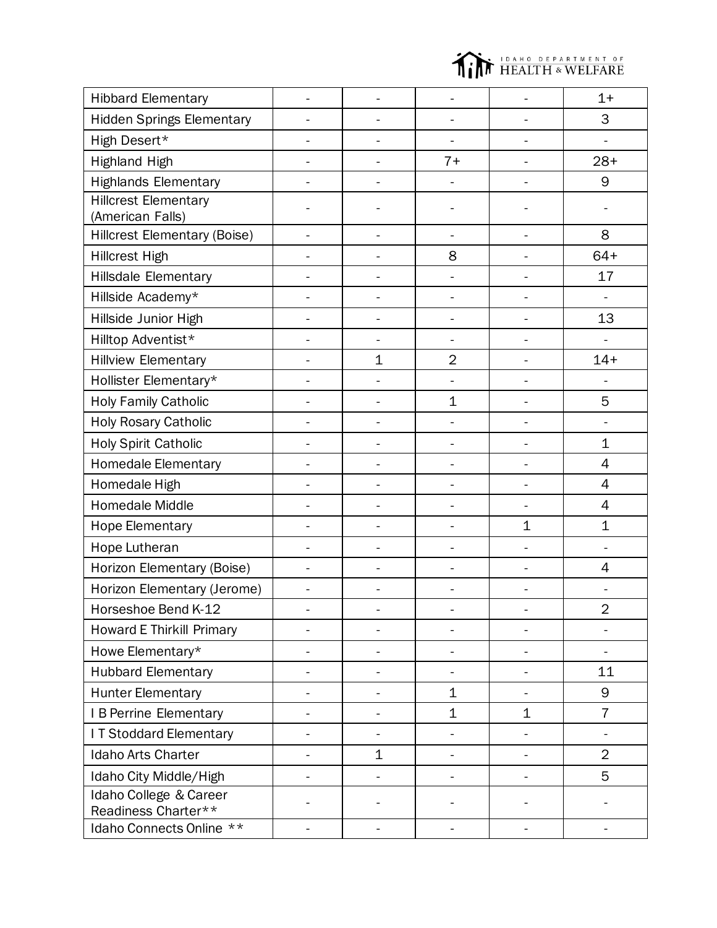

| <b>Hibbard Elementary</b>                       |                              |                |                          | $1+$           |
|-------------------------------------------------|------------------------------|----------------|--------------------------|----------------|
| <b>Hidden Springs Elementary</b>                | ÷,                           |                | $\overline{\phantom{0}}$ | 3              |
| High Desert*                                    |                              |                |                          |                |
| <b>Highland High</b>                            | -                            | $7+$           | $\frac{1}{2}$            | $28+$          |
| <b>Highlands Elementary</b>                     |                              |                |                          | 9              |
| <b>Hillcrest Elementary</b><br>(American Falls) |                              |                |                          |                |
| <b>Hillcrest Elementary (Boise)</b>             |                              |                |                          | 8              |
| <b>Hillcrest High</b>                           |                              | 8              |                          | $64+$          |
| <b>Hillsdale Elementary</b>                     |                              |                |                          | 17             |
| Hillside Academy*                               |                              |                |                          |                |
| Hillside Junior High                            |                              |                |                          | 13             |
| Hilltop Adventist*                              |                              |                |                          |                |
| <b>Hillview Elementary</b>                      | $\mathbf 1$                  | $\overline{2}$ |                          | $14+$          |
| Hollister Elementary*                           |                              |                |                          |                |
| <b>Holy Family Catholic</b>                     |                              | $\mathbf 1$    |                          | 5              |
| Holy Rosary Catholic                            |                              |                |                          |                |
| Holy Spirit Catholic                            |                              |                | $\overline{a}$           | $\mathbf 1$    |
| <b>Homedale Elementary</b>                      |                              |                |                          | 4              |
| Homedale High                                   | -                            |                | $\overline{\phantom{0}}$ | 4              |
| Homedale Middle                                 | $\overline{a}$               | ÷,             | ÷,                       | 4              |
| <b>Hope Elementary</b>                          | L.                           | ÷              | $\mathbf 1$              | $\mathbf 1$    |
| Hope Lutheran                                   | $\overline{a}$               |                |                          |                |
| Horizon Elementary (Boise)                      |                              |                |                          | 4              |
| Horizon Elementary (Jerome)                     |                              |                |                          |                |
| Horseshoe Bend K-12                             |                              |                |                          | $\overline{2}$ |
| <b>Howard E Thirkill Primary</b>                | $\overline{a}$               |                | $\overline{a}$           |                |
| Howe Elementary*                                | $\overline{\phantom{0}}$     | ÷              | $\overline{\phantom{0}}$ | $\frac{1}{2}$  |
| <b>Hubbard Elementary</b>                       | $\overline{a}$               | ÷              | $\overline{a}$           | 11             |
| <b>Hunter Elementary</b>                        |                              | $\mathbf 1$    |                          | 9              |
| I B Perrine Elementary                          | -                            | $\mathbf 1$    | 1                        | $\overline{7}$ |
| I T Stoddard Elementary                         | $\qquad \qquad \blacksquare$ |                |                          | $\blacksquare$ |
| Idaho Arts Charter                              | $\mathbf 1$                  |                |                          | $\overline{2}$ |
| Idaho City Middle/High                          |                              |                |                          | 5              |
| Idaho College & Career<br>Readiness Charter**   |                              |                |                          |                |
| Idaho Connects Online **                        | $\blacksquare$               | ÷,             | $\blacksquare$           | $\blacksquare$ |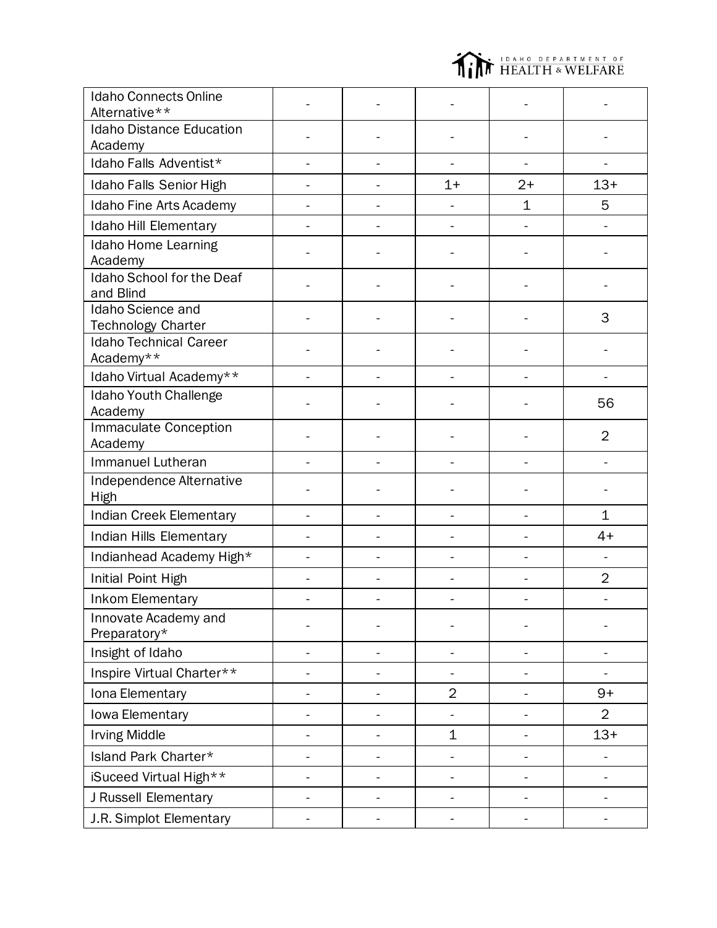

| <b>Idaho Connects Online</b><br>Alternative** |                |                |                          |                          |
|-----------------------------------------------|----------------|----------------|--------------------------|--------------------------|
| <b>Idaho Distance Education</b><br>Academy    |                |                |                          |                          |
| Idaho Falls Adventist*                        | $\overline{a}$ | $\blacksquare$ | $\frac{1}{2}$            | $\overline{\phantom{a}}$ |
| Idaho Falls Senior High                       |                | $1+$           | $2+$                     | $13+$                    |
| Idaho Fine Arts Academy                       |                |                | $\mathbf 1$              | 5                        |
| Idaho Hill Elementary                         |                |                |                          |                          |
| Idaho Home Learning<br>Academy                |                |                |                          |                          |
| Idaho School for the Deaf<br>and Blind        |                |                |                          |                          |
| Idaho Science and<br>Technology Charter       |                |                |                          | 3                        |
| <b>Idaho Technical Career</b><br>Academy**    |                |                |                          |                          |
| Idaho Virtual Academy**                       |                |                |                          |                          |
| Idaho Youth Challenge<br>Academy              |                |                |                          | 56                       |
| <b>Immaculate Conception</b><br>Academy       |                |                |                          | $\overline{2}$           |
| Immanuel Lutheran                             |                |                |                          |                          |
| Independence Alternative<br>High              |                |                |                          |                          |
| Indian Creek Elementary                       |                |                | ÷,                       | $\mathbf 1$              |
| Indian Hills Elementary                       |                |                |                          | $4+$                     |
| Indianhead Academy High*                      |                |                | ÷                        |                          |
| Initial Point High                            |                |                |                          | $\overline{2}$           |
| <b>Inkom Elementary</b>                       |                |                |                          |                          |
| Innovate Academy and<br>Preparatory*          |                |                |                          |                          |
| Insight of Idaho                              |                |                |                          |                          |
| Inspire Virtual Charter**                     |                |                |                          |                          |
| Iona Elementary                               |                | $\overline{2}$ |                          | $9+$                     |
| Iowa Elementary                               |                |                | -                        | $\overline{2}$           |
| <b>Irving Middle</b>                          |                | $\mathbf 1$    | $\overline{\phantom{0}}$ | $13+$                    |
| Island Park Charter*                          |                |                |                          |                          |
| iSuceed Virtual High**                        |                | $\blacksquare$ | -                        | -                        |
| J Russell Elementary                          |                |                |                          |                          |
| J.R. Simplot Elementary                       |                | $\blacksquare$ | $\overline{\phantom{0}}$ |                          |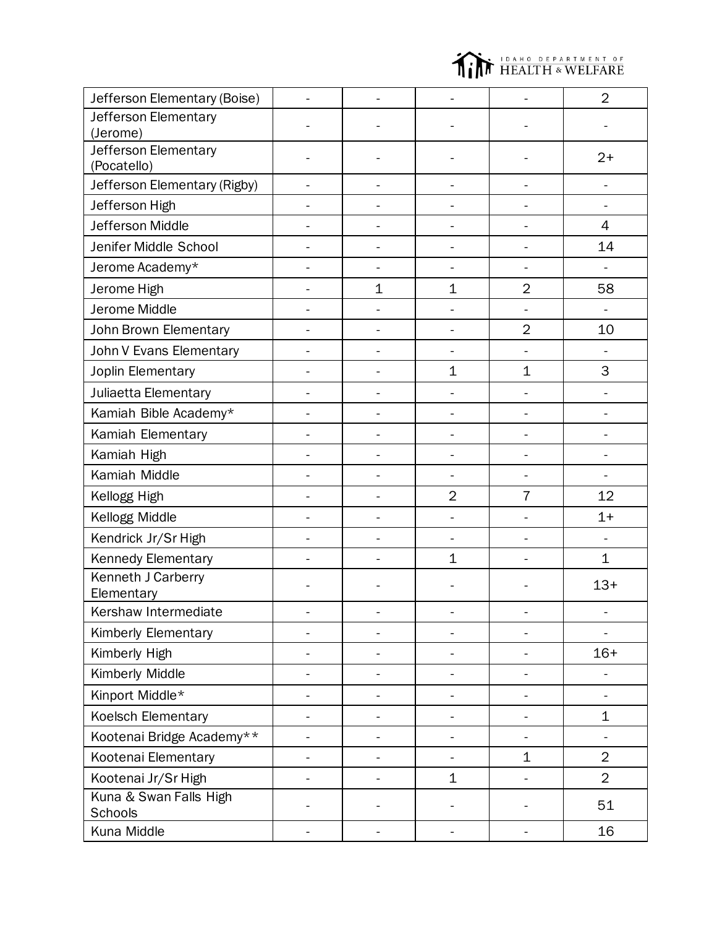

| Jefferson Elementary (Boise)        |                          |                |                          |                          | $\overline{2}$ |
|-------------------------------------|--------------------------|----------------|--------------------------|--------------------------|----------------|
| Jefferson Elementary                |                          |                |                          |                          |                |
| (Jerome)                            |                          |                |                          |                          |                |
| Jefferson Elementary<br>(Pocatello) |                          |                |                          |                          | $2+$           |
| Jefferson Elementary (Rigby)        |                          |                |                          |                          |                |
| Jefferson High                      |                          |                |                          |                          |                |
| Jefferson Middle                    |                          |                |                          |                          | $\overline{4}$ |
| Jenifer Middle School               |                          |                | $\ddot{\phantom{1}}$     | $\overline{a}$           | 14             |
| Jerome Academy*                     |                          |                |                          |                          |                |
| Jerome High                         |                          | $\mathbf 1$    | $\mathbf 1$              | $\overline{2}$           | 58             |
| Jerome Middle                       |                          |                |                          |                          |                |
| John Brown Elementary               |                          | -              | -                        | $\overline{2}$           | 10             |
| John V Evans Elementary             |                          | ä,             | $\blacksquare$           |                          |                |
| Joplin Elementary                   |                          | ÷,             | $\mathbf{1}$             | $\mathbf 1$              | 3              |
| Juliaetta Elementary                |                          | ä,             | -                        | -                        |                |
| Kamiah Bible Academy*               |                          |                | -                        | $\overline{\phantom{0}}$ |                |
| Kamiah Elementary                   |                          |                | -                        | $\overline{a}$           |                |
| Kamiah High                         |                          |                | -                        | $\overline{a}$           |                |
| Kamiah Middle                       |                          | $\blacksquare$ | $\frac{1}{2}$            | -                        |                |
| Kellogg High                        |                          |                | $\overline{2}$           | $\overline{7}$           | 12             |
| Kellogg Middle                      |                          | $\blacksquare$ | $\overline{a}$           | $\overline{\phantom{0}}$ | $1+$           |
| Kendrick Jr/Sr High                 |                          | L,             |                          | ÷                        | $\overline{a}$ |
| Kennedy Elementary                  |                          |                | $\mathbf 1$              |                          | 1              |
| Kenneth J Carberry<br>Elementary    |                          |                |                          |                          | $13+$          |
| Kershaw Intermediate                |                          |                |                          |                          |                |
| <b>Kimberly Elementary</b>          |                          | $\overline{a}$ |                          | -                        |                |
| Kimberly High                       |                          |                |                          |                          | $16+$          |
| Kimberly Middle                     |                          | ÷,             | -                        | $\overline{\phantom{0}}$ |                |
| Kinport Middle*                     |                          |                |                          | Ĭ.                       |                |
| Koelsch Elementary                  |                          | -              | -                        | $\overline{\phantom{0}}$ | 1              |
| Kootenai Bridge Academy**           | $\overline{\phantom{0}}$ | ÷,             | $\overline{\phantom{0}}$ | -                        |                |
| Kootenai Elementary                 |                          |                |                          | $\mathbf 1$              | $\overline{2}$ |
| Kootenai Jr/Sr High                 |                          | -              | $\mathbf 1$              |                          | $\overline{2}$ |
| Kuna & Swan Falls High<br>Schools   |                          |                |                          |                          | 51             |
| Kuna Middle                         |                          |                |                          |                          | 16             |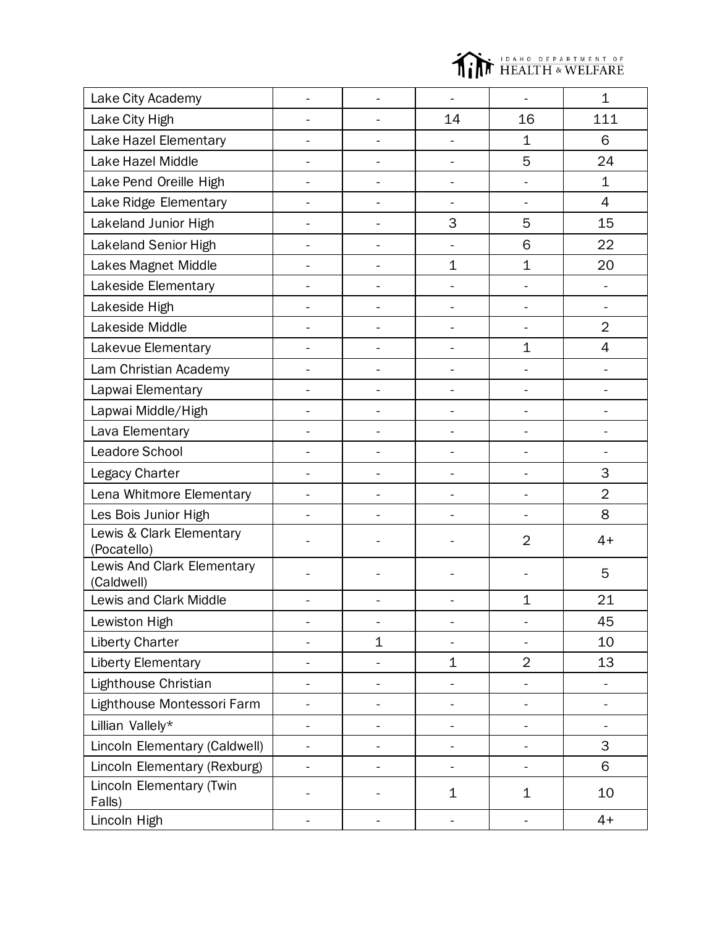

| Lake City Academy                        |                          |                          |                          |                          | $\mathbf 1$    |
|------------------------------------------|--------------------------|--------------------------|--------------------------|--------------------------|----------------|
| Lake City High                           | $\overline{\phantom{a}}$ | ä,                       | 14                       | 16                       | 111            |
| Lake Hazel Elementary                    |                          |                          |                          | $\mathbf 1$              | 6              |
| Lake Hazel Middle                        | -                        | -                        | $\blacksquare$           | 5                        | 24             |
| Lake Pend Oreille High                   |                          | -                        | $\blacksquare$           | $\overline{a}$           | $\mathbf 1$    |
| Lake Ridge Elementary                    |                          | $\overline{a}$           | $\overline{\phantom{0}}$ | $\blacksquare$           | $\overline{4}$ |
| Lakeland Junior High                     |                          | $\overline{a}$           | 3                        | 5                        | 15             |
| Lakeland Senior High                     |                          | $\overline{a}$           | ÷,                       | 6                        | 22             |
| Lakes Magnet Middle                      |                          | $\overline{a}$           | $\mathbf 1$              | $\mathbf 1$              | 20             |
| Lakeside Elementary                      | $\blacksquare$           | -                        | ÷,                       | $\overline{a}$           | ÷,             |
| Lakeside High                            |                          | $\overline{a}$           |                          | $\overline{a}$           |                |
| Lakeside Middle                          |                          | -                        |                          |                          | $\overline{2}$ |
| Lakevue Elementary                       | ÷.                       | $\overline{\phantom{0}}$ | $\overline{\phantom{0}}$ | $\mathbf 1$              | 4              |
| Lam Christian Academy                    |                          | -                        |                          |                          |                |
| Lapwai Elementary                        |                          | -                        |                          | $\overline{a}$           | L.             |
| Lapwai Middle/High                       |                          |                          |                          |                          |                |
| Lava Elementary                          |                          |                          |                          |                          |                |
| Leadore School                           |                          |                          |                          |                          |                |
| Legacy Charter                           |                          |                          |                          |                          | 3              |
| Lena Whitmore Elementary                 |                          |                          |                          |                          | $\overline{2}$ |
| Les Bois Junior High                     |                          |                          |                          |                          | 8              |
| Lewis & Clark Elementary<br>(Pocatello)  |                          |                          |                          | $\overline{2}$           | $4+$           |
| Lewis And Clark Elementary<br>(Caldwell) |                          |                          |                          |                          | 5              |
| Lewis and Clark Middle                   |                          |                          |                          | $\mathbf 1$              | 21             |
| Lewiston High                            |                          |                          |                          |                          | 45             |
| <b>Liberty Charter</b>                   |                          | $\mathbf 1$              |                          |                          | 10             |
| Liberty Elementary                       |                          |                          | $\mathbf 1$              | $\overline{2}$           | 13             |
| Lighthouse Christian                     |                          |                          |                          |                          |                |
| Lighthouse Montessori Farm               | $\overline{a}$           |                          | $\overline{\phantom{0}}$ | -                        | ÷,             |
| Lillian Vallely*                         | ÷,                       |                          | $\overline{a}$           |                          |                |
| Lincoln Elementary (Caldwell)            | ä,                       |                          | $\overline{\phantom{0}}$ | -                        | 3              |
| Lincoln Elementary (Rexburg)             |                          |                          |                          |                          | 6              |
| Lincoln Elementary (Twin<br>Falls)       |                          |                          | $\mathbf 1$              | 1                        | 10             |
| Lincoln High                             | $\blacksquare$           | ÷,                       | $\blacksquare$           | $\overline{\phantom{0}}$ | $4+$           |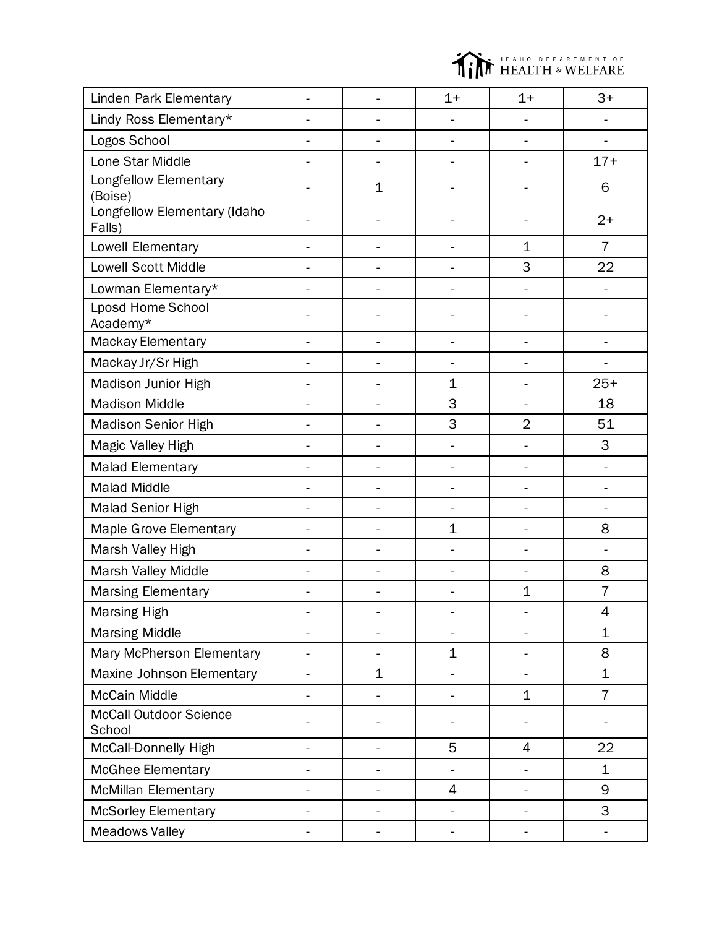

| Linden Park Elementary                  |                          |                          | $1+$                     | $1+$                     | $3+$           |
|-----------------------------------------|--------------------------|--------------------------|--------------------------|--------------------------|----------------|
| Lindy Ross Elementary*                  |                          | $\overline{a}$           |                          | ÷,                       |                |
| Logos School                            |                          |                          |                          | $\ddot{\phantom{1}}$     |                |
| Lone Star Middle                        |                          |                          |                          |                          | $17+$          |
| Longfellow Elementary<br>(Boise)        |                          | 1                        |                          |                          | 6              |
| Longfellow Elementary (Idaho<br>Falls)  |                          |                          |                          |                          | $2+$           |
| Lowell Elementary                       |                          | $\overline{a}$           |                          | $\mathbf 1$              | $\overline{7}$ |
| <b>Lowell Scott Middle</b>              |                          |                          |                          | 3                        | 22             |
| Lowman Elementary*                      |                          |                          |                          | $\overline{a}$           |                |
| <b>Lposd Home School</b><br>Academy*    |                          |                          |                          |                          |                |
| Mackay Elementary                       |                          | $\blacksquare$           | $\blacksquare$           | $\overline{\phantom{0}}$ |                |
| Mackay Jr/Sr High                       |                          | $\overline{a}$           | $\overline{a}$           | $\blacksquare$           | $\mathbf{r}$   |
| Madison Junior High                     |                          |                          | $\mathbf 1$              | $\overline{\phantom{0}}$ | $25+$          |
| <b>Madison Middle</b>                   |                          |                          | 3                        |                          | 18             |
| Madison Senior High                     |                          | $\overline{a}$           | 3                        | $\overline{2}$           | 51             |
| Magic Valley High                       |                          |                          |                          |                          | 3              |
| <b>Malad Elementary</b>                 |                          | $\overline{a}$           |                          | $\overline{a}$           |                |
| <b>Malad Middle</b>                     |                          |                          |                          |                          |                |
| Malad Senior High                       |                          |                          |                          |                          |                |
| Maple Grove Elementary                  |                          |                          | $\mathbf 1$              |                          | 8              |
| Marsh Valley High                       |                          |                          |                          |                          | $\overline{a}$ |
| Marsh Valley Middle                     |                          |                          |                          |                          | 8              |
| <b>Marsing Elementary</b>               |                          | $\blacksquare$           | $\overline{a}$           | $\mathbf 1$              | $\overline{7}$ |
| Marsing High                            |                          |                          |                          |                          | 4              |
| <b>Marsing Middle</b>                   |                          | $\overline{a}$           |                          | ÷,                       | $\mathbf 1$    |
| Mary McPherson Elementary               |                          |                          | $\mathbf 1$              |                          | 8              |
| Maxine Johnson Elementary               | $\blacksquare$           | 1                        | $\overline{\phantom{0}}$ | $\blacksquare$           | $\mathbf 1$    |
| <b>McCain Middle</b>                    |                          |                          |                          | 1                        | $\overline{7}$ |
| <b>McCall Outdoor Science</b><br>School |                          |                          |                          |                          |                |
| McCall-Donnelly High                    | $\overline{\phantom{0}}$ | $\overline{\phantom{a}}$ | 5                        | $\overline{4}$           | 22             |
| <b>McGhee Elementary</b>                |                          |                          |                          |                          | $\mathbf 1$    |
| <b>McMillan Elementary</b>              |                          | $\overline{a}$           | 4                        | $\frac{1}{2}$            | 9              |
| McSorley Elementary                     |                          |                          |                          |                          | 3              |
| <b>Meadows Valley</b>                   |                          |                          |                          |                          |                |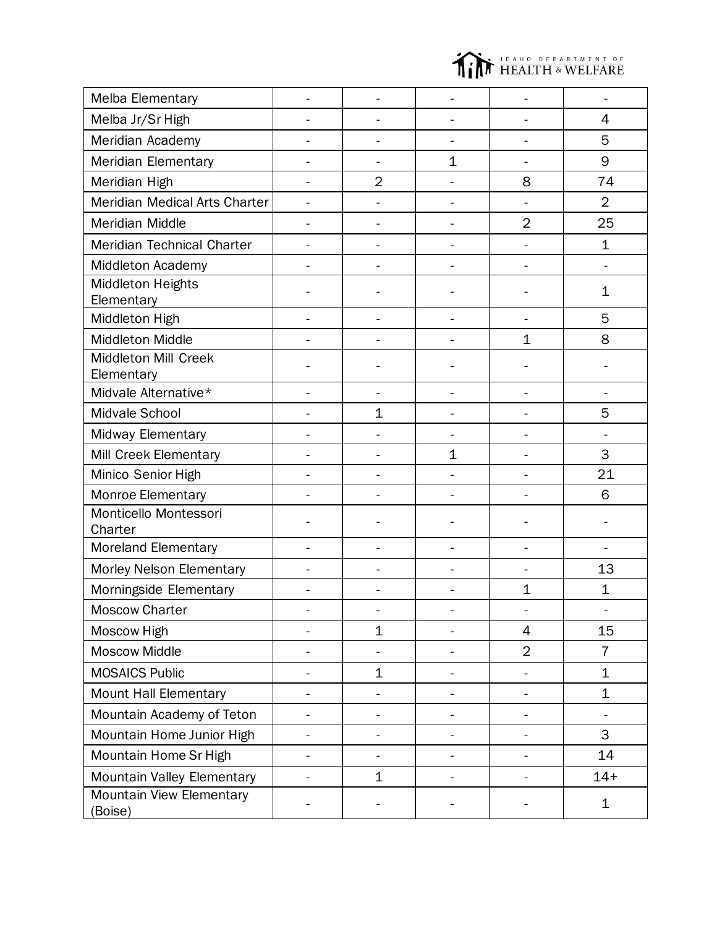

| <b>Melba Elementary</b>             |                |                          |              |                |                |
|-------------------------------------|----------------|--------------------------|--------------|----------------|----------------|
| Melba Jr/Sr High                    |                | L.                       |              | $\overline{a}$ | $\overline{4}$ |
| Meridian Academy                    |                |                          |              |                | 5              |
| Meridian Elementary                 |                | -                        | 1            | $\overline{a}$ | 9              |
| Meridian High                       |                | $\overline{2}$           |              | 8              | 74             |
| Meridian Medical Arts Charter       |                |                          |              |                | $\overline{2}$ |
| Meridian Middle                     |                | $\overline{a}$           |              | $\overline{2}$ | 25             |
| Meridian Technical Charter          |                |                          |              | $\overline{a}$ | $\mathbf 1$    |
| <b>Middleton Academy</b>            |                |                          |              |                |                |
| Middleton Heights<br>Elementary     |                |                          |              |                | 1              |
| Middleton High                      |                |                          |              |                | 5              |
| Middleton Middle                    |                |                          |              | $\mathbf 1$    | 8              |
| Middleton Mill Creek<br>Elementary  |                |                          |              |                |                |
| Midvale Alternative*                |                |                          |              |                |                |
| Midvale School                      |                | $\mathbf 1$              |              |                | 5              |
| Midway Elementary                   |                |                          |              |                |                |
| Mill Creek Elementary               |                |                          | $\mathbf{1}$ | ÷              | 3              |
| Minico Senior High                  |                |                          |              |                | 21             |
| Monroe Elementary                   |                |                          |              |                | 6              |
| Monticello Montessori<br>Charter    |                |                          |              |                |                |
| <b>Moreland Elementary</b>          |                |                          |              |                |                |
| Morley Nelson Elementary            |                |                          |              |                | 13             |
| Morningside Elementary              |                |                          |              | $\mathbf 1$    | $\mathbf 1$    |
| <b>Moscow Charter</b>               |                |                          |              |                |                |
| Moscow High                         |                | $\mathbf 1$              | ÷,           | 4              | 15             |
| Moscow Middle                       |                |                          |              | $\overline{2}$ | $\overline{7}$ |
| <b>MOSAICS Public</b>               | $\overline{a}$ | $\mathbf 1$              | ÷,           | -              | $\mathbf 1$    |
| Mount Hall Elementary               |                | -                        |              | -              | $\mathbf 1$    |
| Mountain Academy of Teton           |                |                          |              |                | ÷,             |
| Mountain Home Junior High           |                | -                        |              |                | 3              |
| Mountain Home Sr High               |                | $\overline{\phantom{0}}$ |              |                | 14             |
| Mountain Valley Elementary          |                | $\overline{1}$           |              |                | $14+$          |
| Mountain View Elementary<br>(Boise) |                |                          |              |                | $\mathbf 1$    |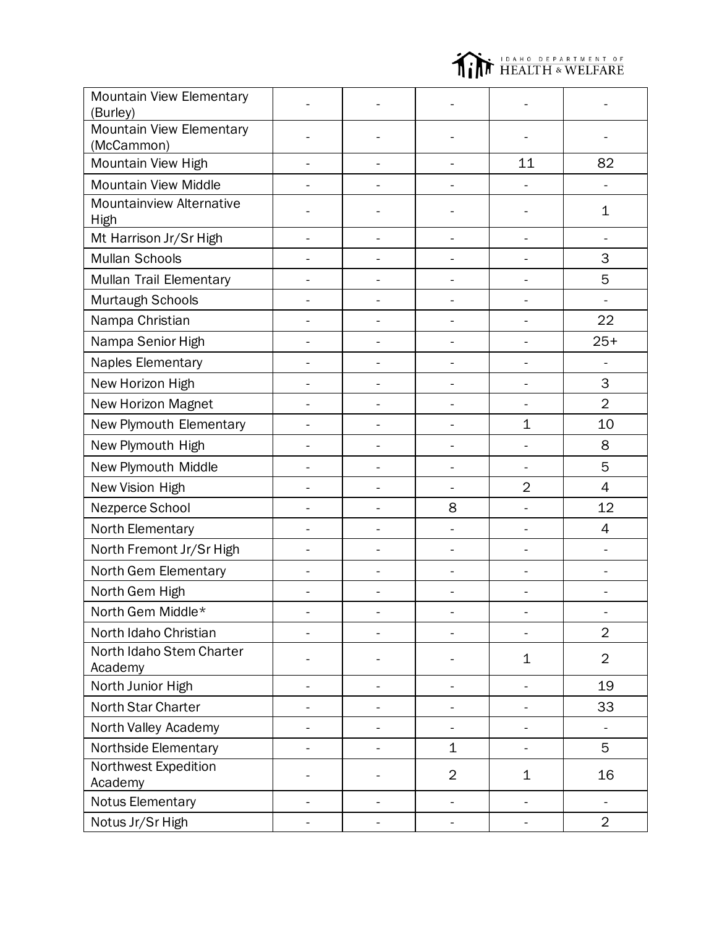

| Mountain View Elementary<br>(Burley)          |                |                |                              |                          |                          |
|-----------------------------------------------|----------------|----------------|------------------------------|--------------------------|--------------------------|
| <b>Mountain View Elementary</b><br>(McCammon) |                |                |                              |                          |                          |
| Mountain View High                            | $\blacksquare$ | ÷,             | $\overline{\phantom{0}}$     | 11                       | 82                       |
| <b>Mountain View Middle</b>                   |                |                |                              |                          |                          |
| Mountainview Alternative<br><b>High</b>       |                |                |                              |                          | 1                        |
| Mt Harrison Jr/Sr High                        | $\overline{a}$ | $\blacksquare$ | $\qquad \qquad \blacksquare$ | $\overline{\phantom{0}}$ |                          |
| <b>Mullan Schools</b>                         |                |                |                              |                          | 3                        |
| Mullan Trail Elementary                       |                |                |                              |                          | 5                        |
| Murtaugh Schools                              |                |                |                              |                          |                          |
| Nampa Christian                               |                |                |                              |                          | 22                       |
| Nampa Senior High                             |                |                |                              |                          | $25+$                    |
| Naples Elementary                             |                |                |                              |                          |                          |
| New Horizon High                              |                |                |                              |                          | 3                        |
| <b>New Horizon Magnet</b>                     |                |                |                              |                          | $\overline{2}$           |
| New Plymouth Elementary                       |                |                | ÷,                           | $\mathbf 1$              | 10                       |
| New Plymouth High                             |                |                |                              | $\overline{a}$           | 8                        |
| New Plymouth Middle                           |                |                | $\overline{a}$               |                          | 5                        |
| New Vision High                               |                |                |                              | $\overline{2}$           | $\overline{4}$           |
| Nezperce School                               |                |                | 8                            |                          | 12                       |
| North Elementary                              |                | $\frac{1}{2}$  | $\overline{\phantom{0}}$     | $\frac{1}{2}$            | 4                        |
| North Fremont Jr/Sr High                      |                | $\overline{a}$ | ÷,                           | $\overline{\phantom{0}}$ |                          |
| North Gem Elementary                          |                | ÷,             | $\overline{\phantom{0}}$     | $\overline{\phantom{0}}$ | -                        |
| North Gem High                                |                |                |                              |                          |                          |
| North Gem Middle*                             |                |                |                              |                          |                          |
| North Idaho Christian                         |                |                |                              |                          | $\overline{2}$           |
| North Idaho Stem Charter<br>Academy           |                |                |                              | $\mathbf 1$              | $\overline{2}$           |
| North Junior High                             |                |                |                              |                          | 19                       |
| North Star Charter                            |                |                |                              |                          | 33                       |
| North Valley Academy                          |                |                |                              |                          |                          |
| Northside Elementary                          |                |                | $\mathbf 1$                  |                          | 5                        |
| Northwest Expedition<br>Academy               |                |                | $\overline{2}$               | 1                        | 16                       |
| <b>Notus Elementary</b>                       |                |                | $\overline{\phantom{0}}$     | $\overline{\phantom{0}}$ | $\overline{\phantom{0}}$ |
| Notus Jr/Sr High                              |                |                |                              | $\frac{1}{2}$            | $\overline{2}$           |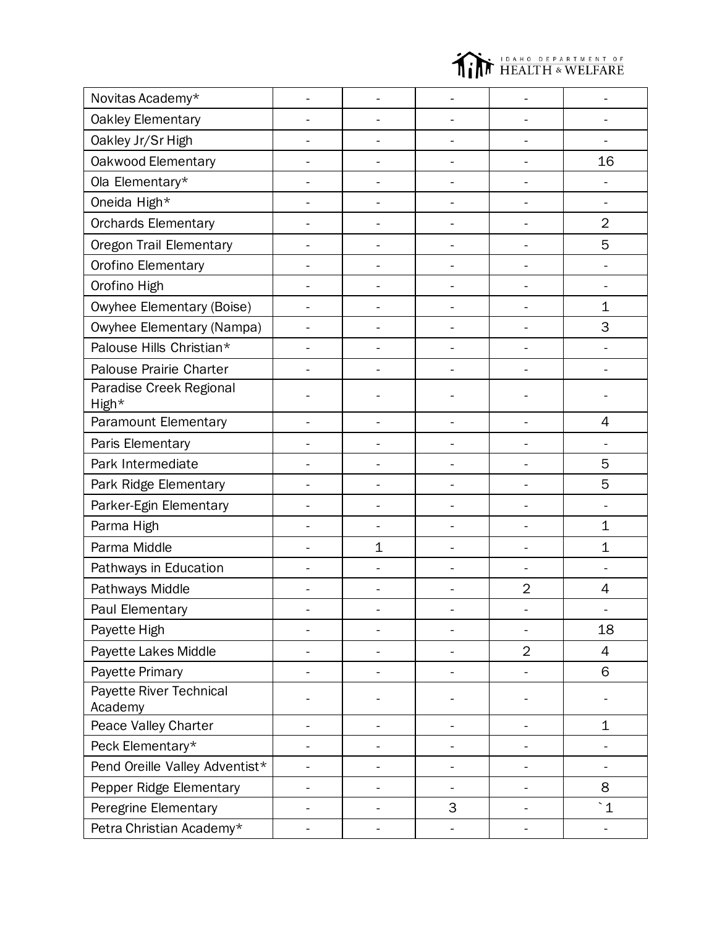

| Novitas Academy*                   |                          |   |                |                |
|------------------------------------|--------------------------|---|----------------|----------------|
| Oakley Elementary                  |                          |   |                |                |
| Oakley Jr/Sr High                  |                          |   |                |                |
| Oakwood Elementary                 |                          |   |                | 16             |
| Ola Elementary*                    |                          |   |                |                |
| Oneida High*                       |                          |   |                |                |
| Orchards Elementary                |                          |   |                | $\overline{2}$ |
| Oregon Trail Elementary            |                          |   |                | 5              |
| Orofino Elementary                 |                          |   |                |                |
| Orofino High                       |                          |   |                |                |
| Owyhee Elementary (Boise)          |                          |   |                | $\mathbf 1$    |
| Owyhee Elementary (Nampa)          |                          |   |                | 3              |
| Palouse Hills Christian*           |                          |   |                |                |
| Palouse Prairie Charter            |                          |   |                |                |
| Paradise Creek Regional<br>High*   |                          |   |                |                |
| Paramount Elementary               |                          |   |                | 4              |
| Paris Elementary                   |                          |   |                |                |
| Park Intermediate                  |                          |   |                | 5              |
| Park Ridge Elementary              |                          |   |                | 5              |
| Parker-Egin Elementary             |                          |   |                |                |
| Parma High                         |                          |   |                | $\mathbf 1$    |
| Parma Middle                       | $\mathbf 1$              |   |                | $\mathbf 1$    |
| Pathways in Education              |                          |   |                |                |
| Pathways Middle                    |                          |   | $\overline{2}$ | 4              |
| Paul Elementary                    |                          |   |                |                |
| Payette High                       |                          |   |                | 18             |
| Payette Lakes Middle               |                          |   | $\overline{2}$ | 4              |
| Payette Primary                    |                          |   |                | 6              |
| Payette River Technical<br>Academy |                          |   |                |                |
| Peace Valley Charter               |                          |   |                | 1              |
| Peck Elementary*                   |                          |   |                |                |
| Pend Oreille Valley Adventist*     |                          |   |                |                |
| Pepper Ridge Elementary            |                          |   |                | 8              |
| Peregrine Elementary               |                          | 3 |                | $\degree$ 1    |
| Petra Christian Academy*           | $\overline{\phantom{0}}$ |   | -              | ۰              |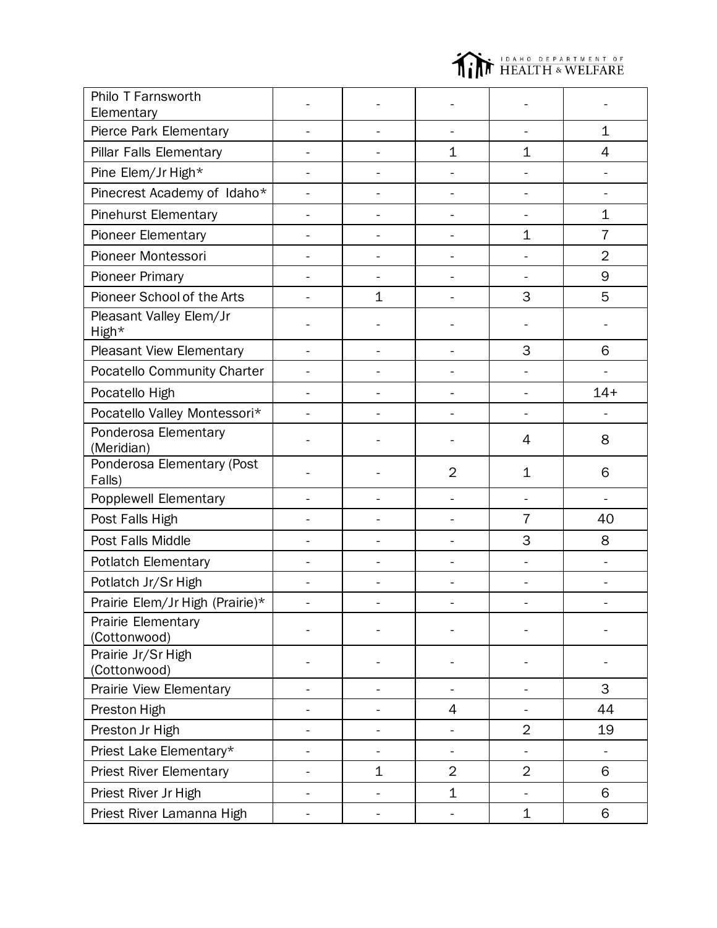

| Philo T Farnsworth                   |    |             |                          |                |                          |
|--------------------------------------|----|-------------|--------------------------|----------------|--------------------------|
| Elementary                           |    |             |                          |                |                          |
| Pierce Park Elementary               |    | L.          |                          | $\blacksquare$ | $\mathbf 1$              |
| Pillar Falls Elementary              |    |             | $\mathbf 1$              | $\mathbf 1$    | 4                        |
| Pine Elem/Jr High*                   |    |             |                          |                |                          |
| Pinecrest Academy of Idaho*          |    |             |                          |                |                          |
| <b>Pinehurst Elementary</b>          |    |             |                          |                | $\mathbf 1$              |
| Pioneer Elementary                   |    |             |                          | $\mathbf 1$    | $\overline{7}$           |
| Pioneer Montessori                   |    |             |                          |                | $\overline{2}$           |
| <b>Pioneer Primary</b>               |    |             |                          |                | 9                        |
| Pioneer School of the Arts           |    | $\mathbf 1$ |                          | 3              | 5                        |
| Pleasant Valley Elem/Jr<br>High*     |    |             |                          |                |                          |
| Pleasant View Elementary             |    |             |                          | 3              | 6                        |
| Pocatello Community Charter          |    |             | $\overline{a}$           | ÷,             |                          |
| Pocatello High                       |    |             |                          | L,             | $14 +$                   |
| Pocatello Valley Montessori*         |    |             |                          | $\overline{a}$ |                          |
| Ponderosa Elementary<br>(Meridian)   |    |             |                          | 4              | 8                        |
| Ponderosa Elementary (Post<br>Falls) |    |             | $\overline{2}$           | 1              | 6                        |
| Popplewell Elementary                |    |             | $\overline{\phantom{a}}$ | L,             | $\overline{\phantom{0}}$ |
| Post Falls High                      |    |             |                          | $\overline{7}$ | 40                       |
| Post Falls Middle                    |    |             | $\blacksquare$           | 3              | 8                        |
| <b>Potlatch Elementary</b>           |    |             |                          |                |                          |
| Potlatch Jr/Sr High                  |    |             |                          | ÷,             |                          |
| Prairie Elem/Jr High (Prairie)*      |    |             |                          |                |                          |
| Prairie Elementary<br>(Cottonwood)   |    |             |                          |                |                          |
| Prairie Jr/Sr High<br>(Cottonwood)   |    |             |                          |                |                          |
| Prairie View Elementary              |    | ÷.          | $\blacksquare$           | $\blacksquare$ | 3                        |
| Preston High                         |    |             | 4                        | $\frac{1}{2}$  | 44                       |
| Preston Jr High                      |    |             |                          | $\overline{2}$ | 19                       |
| Priest Lake Elementary*              |    | ÷,          | $\blacksquare$           | $\frac{1}{2}$  |                          |
| <b>Priest River Elementary</b>       |    |             |                          |                |                          |
|                                      |    | $\mathbf 1$ | $\overline{2}$           | $\overline{2}$ | 6                        |
| Priest River Jr High                 | ÷. | ÷,          | $\mathbf 1$              | $\blacksquare$ | 6                        |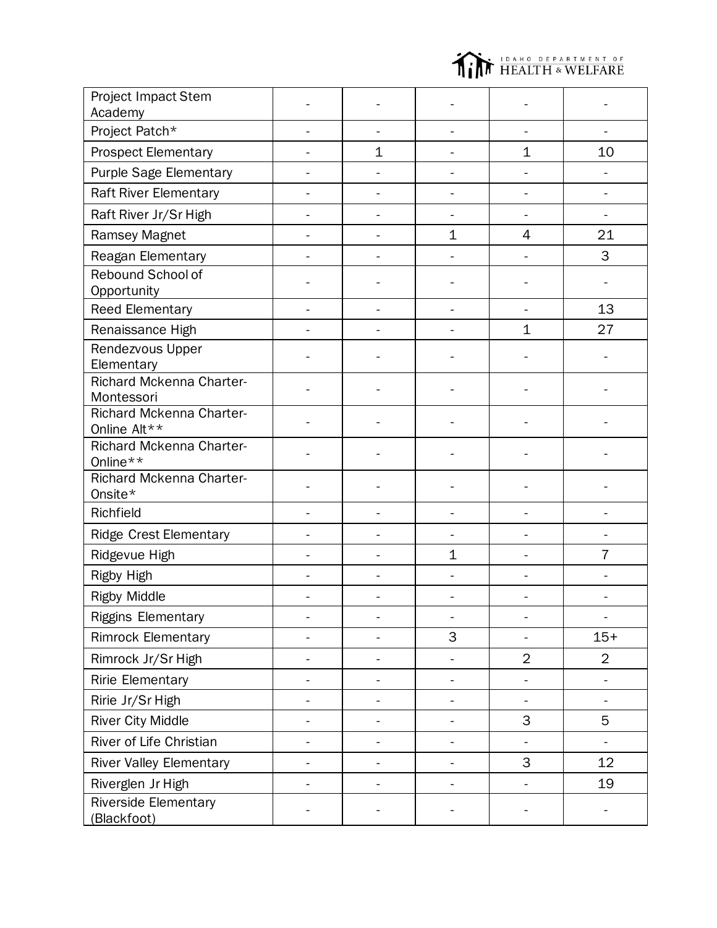

| <b>Project Impact Stem</b><br>Academy    |                |                |                |                |
|------------------------------------------|----------------|----------------|----------------|----------------|
| Project Patch*                           |                |                |                |                |
| <b>Prospect Elementary</b>               | $\mathbf 1$    |                | $\mathbf 1$    | 10             |
| Purple Sage Elementary                   |                |                |                |                |
| <b>Raft River Elementary</b>             |                |                |                |                |
| Raft River Jr/Sr High                    |                |                |                |                |
| Ramsey Magnet                            |                | $\mathbf 1$    | 4              | 21             |
| Reagan Elementary                        |                |                |                | 3              |
| Rebound School of<br>Opportunity         |                |                |                |                |
| Reed Elementary                          |                |                |                | 13             |
| Renaissance High                         |                |                | $\mathbf{1}$   | 27             |
| Rendezvous Upper<br>Elementary           |                |                |                |                |
| Richard Mckenna Charter-<br>Montessori   |                |                |                |                |
| Richard Mckenna Charter-<br>Online Alt** |                |                |                |                |
| Richard Mckenna Charter-<br>Online**     |                |                |                |                |
| Richard Mckenna Charter-<br>Onsite*      |                |                |                |                |
| Richfield                                |                |                |                |                |
| Ridge Crest Elementary                   |                |                |                |                |
| Ridgevue High                            |                | $\mathbf 1$    |                | $\overline{7}$ |
| Rigby High                               |                |                |                |                |
| <b>Rigby Middle</b>                      |                |                |                |                |
| <b>Riggins Elementary</b>                |                |                |                | ۰              |
| <b>Rimrock Elementary</b>                | $\overline{a}$ | 3              | ÷,             | $15+$          |
| Rimrock Jr/Sr High                       |                |                | $\overline{2}$ | $\overline{2}$ |
| <b>Ririe Elementary</b>                  |                | $\overline{a}$ |                |                |
| Ririe Jr/Sr High                         |                |                |                |                |
| <b>River City Middle</b>                 |                |                | 3              | 5              |
| River of Life Christian                  |                |                |                |                |
| <b>River Valley Elementary</b>           |                |                | 3              | 12             |
| Riverglen Jr High                        |                |                |                | 19             |
| Riverside Elementary<br>(Blackfoot)      |                |                |                |                |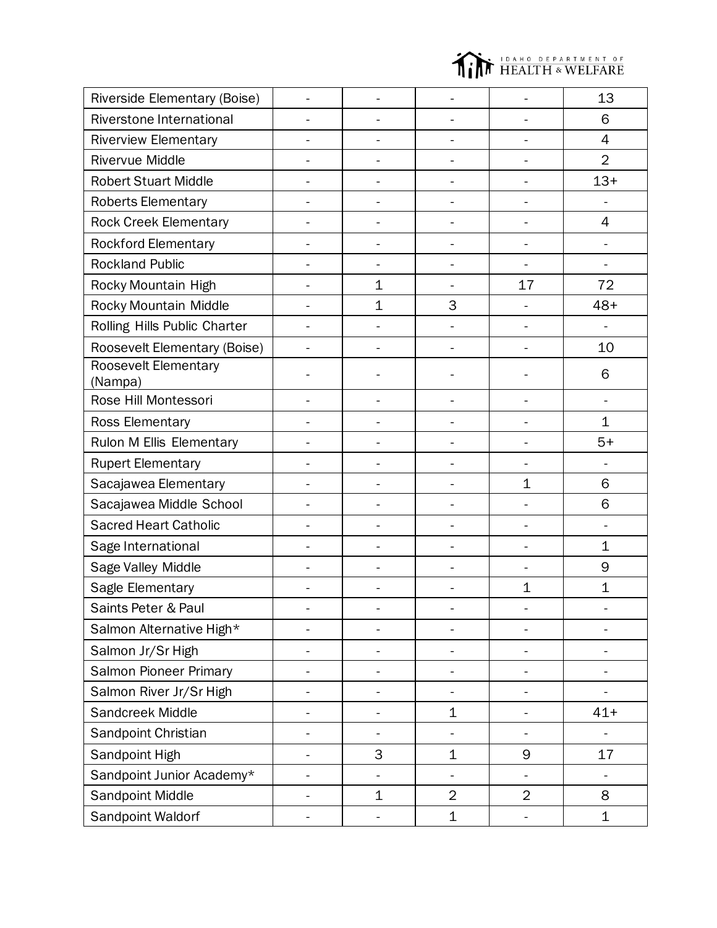

| Riverside Elementary (Boise)    |                          |                          |                          | 13             |
|---------------------------------|--------------------------|--------------------------|--------------------------|----------------|
| Riverstone International        |                          |                          |                          | 6              |
| <b>Riverview Elementary</b>     |                          |                          |                          | 4              |
| <b>Rivervue Middle</b>          | $\blacksquare$           | ÷,                       | $\overline{a}$           | $\overline{2}$ |
| <b>Robert Stuart Middle</b>     | L.                       | ÷,                       | L,                       | $13+$          |
| <b>Roberts Elementary</b>       |                          |                          |                          |                |
| <b>Rock Creek Elementary</b>    | -                        | -                        | $\overline{\phantom{0}}$ | $\overline{4}$ |
| <b>Rockford Elementary</b>      |                          |                          | ÷                        | ÷.             |
| <b>Rockland Public</b>          | -                        | -                        | $\blacksquare$           | ÷,             |
| Rocky Mountain High             | $\mathbf 1$              | ÷,                       | 17                       | 72             |
| Rocky Mountain Middle           | $\mathbf 1$              | 3                        | $\overline{\phantom{0}}$ | $48+$          |
| Rolling Hills Public Charter    |                          |                          | $\overline{a}$           |                |
| Roosevelt Elementary (Boise)    |                          |                          |                          | 10             |
| Roosevelt Elementary<br>(Nampa) |                          |                          |                          | 6              |
| Rose Hill Montessori            |                          |                          | $\overline{a}$           |                |
| <b>Ross Elementary</b>          |                          |                          |                          | 1              |
| Rulon M Ellis Elementary        |                          |                          | -                        | $5+$           |
| <b>Rupert Elementary</b>        |                          |                          |                          |                |
| Sacajawea Elementary            | ÷.                       | $\overline{\phantom{0}}$ | $\mathbf 1$              | 6              |
| Sacajawea Middle School         | -                        | ÷                        |                          | 6              |
| <b>Sacred Heart Catholic</b>    | ÷.                       | ÷                        | ÷,                       | ÷.             |
| Sage International              |                          |                          | $\overline{a}$           | 1              |
| Sage Valley Middle              |                          |                          |                          | 9              |
| Sagle Elementary                |                          |                          | $\mathbf 1$              | $\mathbf 1$    |
| Saints Peter & Paul             | ۰                        |                          |                          |                |
| Salmon Alternative High*        | $\overline{\phantom{0}}$ |                          | $\overline{a}$           |                |
| Salmon Jr/Sr High               |                          | -                        | -                        |                |
| Salmon Pioneer Primary          | -                        | $\overline{\phantom{0}}$ | $\overline{\phantom{0}}$ |                |
| Salmon River Jr/Sr High         |                          |                          |                          |                |
| Sandcreek Middle                |                          | $\mathbf 1$              |                          | $41+$          |
| Sandpoint Christian             |                          |                          |                          |                |
| Sandpoint High                  | 3                        | $\mathbf 1$              | 9                        | 17             |
| Sandpoint Junior Academy*       |                          |                          |                          |                |
| Sandpoint Middle                | $\mathbf 1$              | $\overline{2}$           | $\overline{2}$           | 8              |
| Sandpoint Waldorf               |                          | $\mathbf 1$              |                          | $\mathbf 1$    |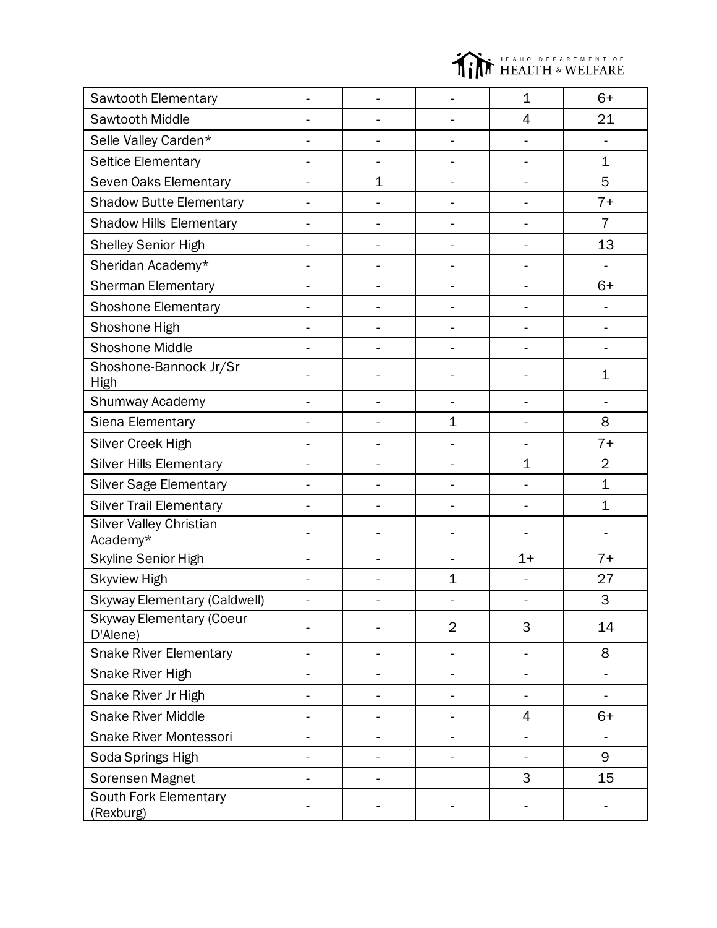

| Sawtooth Elementary                         |                          |                          | $\mathbf 1$              | $6+$           |
|---------------------------------------------|--------------------------|--------------------------|--------------------------|----------------|
| Sawtooth Middle                             | $\overline{a}$           |                          | 4                        | 21             |
| Selle Valley Carden*                        | $\overline{\phantom{0}}$ |                          |                          |                |
| <b>Seltice Elementary</b>                   |                          |                          |                          | 1              |
| Seven Oaks Elementary                       | $\mathbf 1$              |                          |                          | 5              |
| <b>Shadow Butte Elementary</b>              |                          |                          |                          | $7+$           |
| <b>Shadow Hills Elementary</b>              |                          |                          |                          | $\overline{7}$ |
| <b>Shelley Senior High</b>                  |                          |                          |                          | 13             |
| Sheridan Academy*                           | $\overline{a}$           | $\overline{a}$           |                          |                |
| <b>Sherman Elementary</b>                   | -                        |                          |                          | $6+$           |
| <b>Shoshone Elementary</b>                  |                          |                          |                          |                |
| Shoshone High                               |                          |                          |                          |                |
| <b>Shoshone Middle</b>                      |                          |                          |                          |                |
| Shoshone-Bannock Jr/Sr<br>High              |                          |                          |                          | $\mathbf 1$    |
| Shumway Academy                             | ÷.                       |                          | $\ddot{\phantom{1}}$     |                |
| Siena Elementary                            | -                        | $\mathbf{1}$             |                          | 8              |
| Silver Creek High                           |                          |                          |                          | $7+$           |
| <b>Silver Hills Elementary</b>              | $\overline{a}$           |                          | $\mathbf 1$              | $\overline{2}$ |
| <b>Silver Sage Elementary</b>               | $\overline{a}$           |                          |                          | $\mathbf 1$    |
| <b>Silver Trail Elementary</b>              |                          |                          |                          | $\mathbf 1$    |
| <b>Silver Valley Christian</b><br>Academy*  |                          |                          |                          |                |
| Skyline Senior High                         |                          |                          | $1+$                     | $7+$           |
| <b>Skyview High</b>                         |                          | $\mathbf{1}$             |                          | 27             |
| <b>Skyway Elementary (Caldwell)</b>         |                          |                          |                          | 3              |
| <b>Skyway Elementary (Coeur</b><br>D'Alene) |                          | $\overline{2}$           | 3                        | 14             |
| <b>Snake River Elementary</b>               | $\overline{a}$           | $\overline{\phantom{0}}$ | ÷,                       | 8              |
| Snake River High                            | L.                       | ÷.                       | ÷,                       | $\blacksquare$ |
| Snake River Jr High                         |                          |                          | $\blacksquare$           |                |
| <b>Snake River Middle</b>                   | $\overline{a}$           |                          | 4                        | $6+$           |
| <b>Snake River Montessori</b>               |                          |                          |                          |                |
| Soda Springs High                           | -                        | $\overline{a}$           | $\overline{\phantom{0}}$ | 9              |
| Sorensen Magnet                             |                          |                          | 3                        | 15             |
| <b>South Fork Elementary</b><br>(Rexburg)   |                          |                          |                          |                |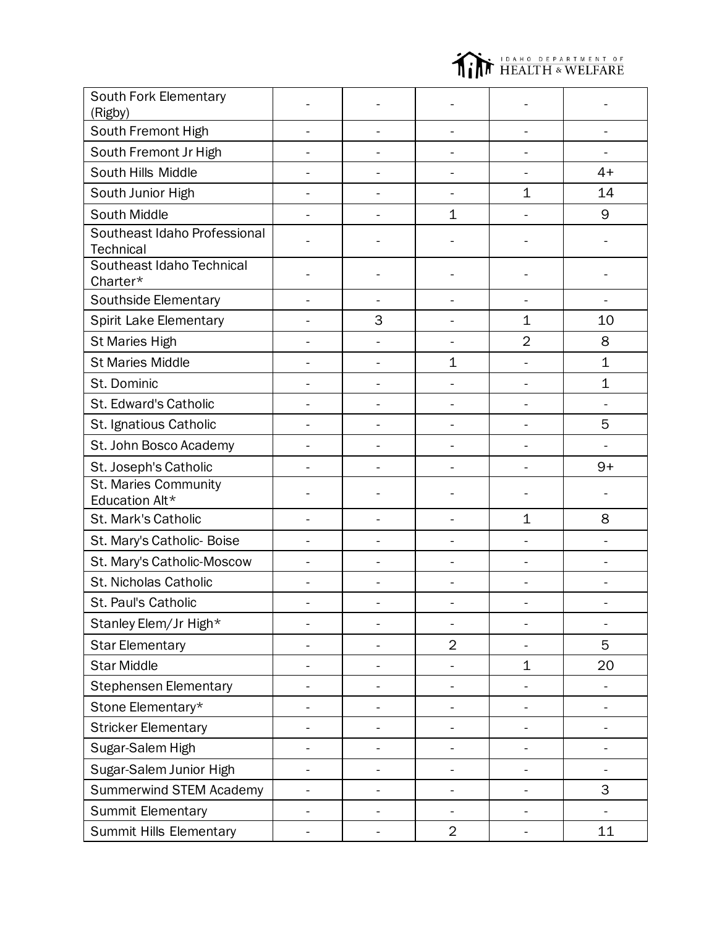

| South Fork Elementary<br>(Rigby)                 |                |                |                          |                |                |
|--------------------------------------------------|----------------|----------------|--------------------------|----------------|----------------|
| South Fremont High                               |                |                |                          |                |                |
| South Fremont Jr High                            |                |                |                          |                |                |
| South Hills Middle                               |                |                |                          |                | $4+$           |
| South Junior High                                |                |                |                          | $\mathbf 1$    | 14             |
| South Middle                                     |                |                | $\mathbf 1$              |                | 9              |
| Southeast Idaho Professional<br><b>Technical</b> |                |                |                          |                |                |
| Southeast Idaho Technical<br>Charter*            |                |                |                          |                |                |
| Southside Elementary                             |                |                |                          |                |                |
| <b>Spirit Lake Elementary</b>                    |                | 3              |                          | $\mathbf 1$    | 10             |
| <b>St Maries High</b>                            |                |                |                          | $\overline{2}$ | 8              |
| <b>St Maries Middle</b>                          |                |                | $\mathbf 1$              |                | $\overline{1}$ |
| St. Dominic                                      |                |                |                          |                | $\mathbf 1$    |
| St. Edward's Catholic                            |                |                |                          |                |                |
| St. Ignatious Catholic                           |                |                |                          |                | 5              |
| St. John Bosco Academy                           |                |                |                          |                |                |
| St. Joseph's Catholic                            |                |                |                          |                | $9+$           |
| <b>St. Maries Community</b><br>Education Alt*    |                |                |                          |                |                |
| St. Mark's Catholic                              |                |                |                          | $\mathbf 1$    | 8              |
| St. Mary's Catholic- Boise                       |                |                |                          |                |                |
| St. Mary's Catholic-Moscow                       |                |                |                          |                |                |
| St. Nicholas Catholic                            |                | L,             |                          |                |                |
| St. Paul's Catholic                              |                |                |                          |                |                |
| Stanley Elem/Jr High*                            |                | $\overline{a}$ | $\overline{\phantom{a}}$ | $\overline{a}$ |                |
| <b>Star Elementary</b>                           |                |                | $\overline{2}$           | $\overline{a}$ | 5              |
| <b>Star Middle</b>                               |                | -              |                          | $\mathbf 1$    | 20             |
| <b>Stephensen Elementary</b>                     |                |                |                          |                |                |
| Stone Elementary*                                |                |                |                          | -              |                |
| <b>Stricker Elementary</b>                       |                |                |                          |                |                |
| Sugar-Salem High                                 |                |                |                          |                |                |
| Sugar-Salem Junior High                          |                |                |                          |                |                |
| <b>Summerwind STEM Academy</b>                   |                |                |                          |                | 3              |
| Summit Elementary                                | $\blacksquare$ | -              | -                        | $\overline{a}$ |                |
| <b>Summit Hills Elementary</b>                   |                | -              | $\overline{2}$           |                | 11             |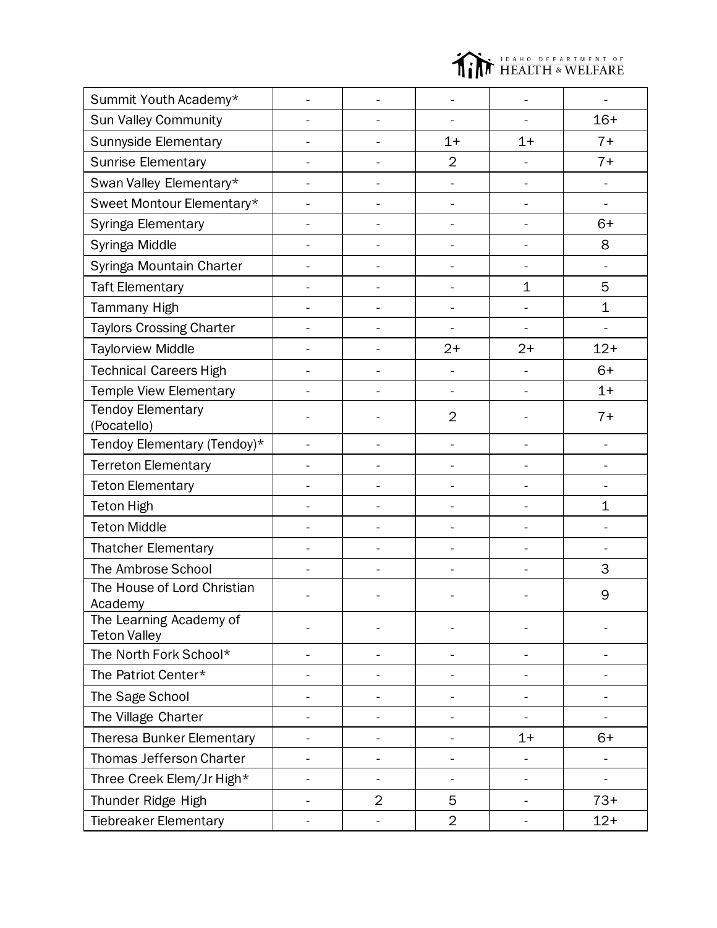

| Summit Youth Academy*                          |                |                              |                          |       |
|------------------------------------------------|----------------|------------------------------|--------------------------|-------|
| Sun Valley Community                           |                |                              |                          | $16+$ |
| Sunnyside Elementary                           |                | $1+$                         | $1+$                     | $7+$  |
| <b>Sunrise Elementary</b>                      |                | $\overline{2}$               |                          | $7+$  |
| Swan Valley Elementary*                        |                |                              | L,                       |       |
| Sweet Montour Elementary*                      |                |                              | L,                       | ÷.    |
| Syringa Elementary                             | -              | -                            | -                        | $6+$  |
| Syringa Middle                                 | ÷,             |                              | $\overline{\phantom{0}}$ | 8     |
| Syringa Mountain Charter                       | -              | -                            | Ĭ.                       |       |
| <b>Taft Elementary</b>                         |                | -                            | $\mathbf 1$              | 5     |
| <b>Tammany High</b>                            |                | $\overline{a}$               |                          | 1     |
| <b>Taylors Crossing Charter</b>                |                |                              |                          |       |
| <b>Taylorview Middle</b>                       | $\overline{a}$ | $2+$                         | $2+$                     | $12+$ |
| <b>Technical Careers High</b>                  |                |                              | Ĭ.                       | $6+$  |
| Temple View Elementary                         | $\overline{a}$ | $\frac{1}{2}$                | ÷                        | $1+$  |
| <b>Tendoy Elementary</b><br>(Pocatello)        |                | $\overline{2}$               |                          | $7+$  |
| Tendoy Elementary (Tendoy)*                    |                |                              |                          |       |
| <b>Terreton Elementary</b>                     |                |                              |                          |       |
| <b>Teton Elementary</b>                        |                |                              |                          |       |
| <b>Teton High</b>                              |                |                              | -                        | 1     |
| <b>Teton Middle</b>                            |                |                              |                          |       |
| <b>Thatcher Elementary</b>                     |                |                              | -                        |       |
| The Ambrose School                             |                |                              |                          | 3     |
| The House of Lord Christian<br>Academy         |                |                              |                          | 9     |
| The Learning Academy of<br><b>Teton Valley</b> |                |                              |                          |       |
| The North Fork School*                         |                | $\overline{a}$               |                          |       |
| The Patriot Center*                            |                |                              |                          |       |
| The Sage School                                |                |                              |                          |       |
| The Village Charter                            |                |                              |                          |       |
| <b>Theresa Bunker Elementary</b>               |                |                              | $1+$                     | $6+$  |
| Thomas Jefferson Charter                       |                |                              |                          | ÷,    |
| Three Creek Elem/Jr High*                      | ÷,             | $\qquad \qquad \blacksquare$ | $\overline{\phantom{0}}$ | ÷,    |
| Thunder Ridge High                             | $\overline{2}$ | 5                            | -                        | $73+$ |
| <b>Tiebreaker Elementary</b>                   |                | $\overline{2}$               |                          | $12+$ |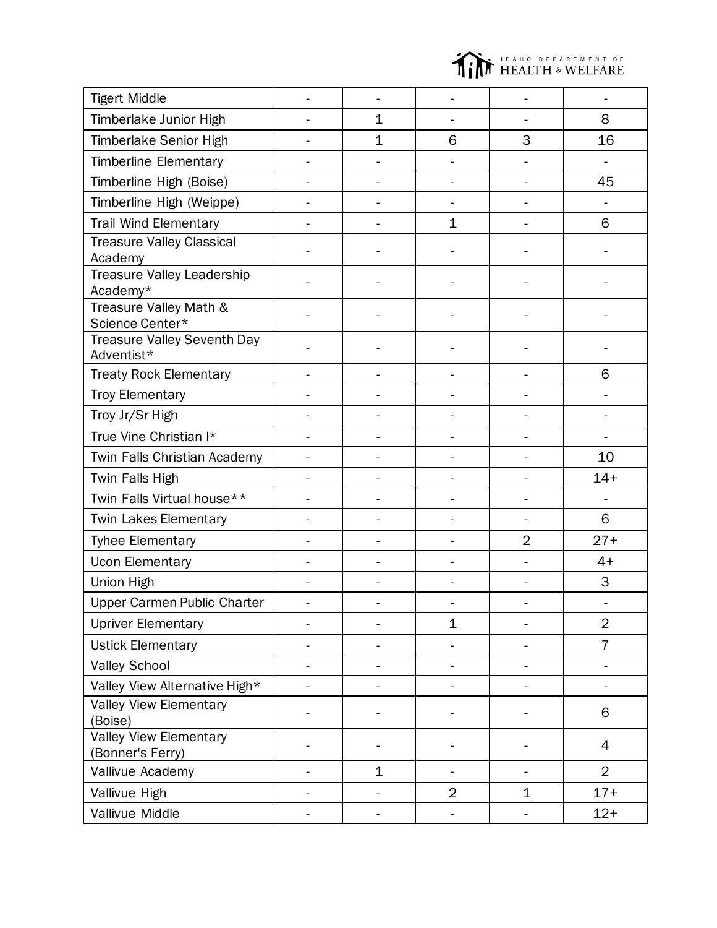

| <b>Tigert Middle</b>                              |                |               |                |                          |                          |
|---------------------------------------------------|----------------|---------------|----------------|--------------------------|--------------------------|
| Timberlake Junior High                            |                | $\mathbf 1$   |                |                          | 8                        |
| Timberlake Senior High                            |                | $\mathbf{1}$  | 6              | 3                        | 16                       |
| <b>Timberline Elementary</b>                      |                |               | ä,             | L,                       | $\overline{a}$           |
| Timberline High (Boise)                           |                |               |                | L,                       | 45                       |
| Timberline High (Weippe)                          |                | $\frac{1}{2}$ | -              | -                        | $\overline{\phantom{0}}$ |
| <b>Trail Wind Elementary</b>                      |                | ä,            | $\mathbf 1$    | L,                       | 6                        |
| <b>Treasure Valley Classical</b><br>Academy       |                |               |                |                          |                          |
| Treasure Valley Leadership<br>Academy*            |                |               |                |                          |                          |
| Treasure Valley Math &<br>Science Center*         |                |               |                |                          |                          |
| <b>Treasure Valley Seventh Day</b><br>Adventist*  |                |               |                |                          |                          |
| <b>Treaty Rock Elementary</b>                     |                |               |                |                          | 6                        |
| <b>Troy Elementary</b>                            |                |               |                |                          |                          |
| Troy Jr/Sr High                                   |                |               |                |                          |                          |
| True Vine Christian I*                            |                |               |                |                          |                          |
| Twin Falls Christian Academy                      |                |               |                |                          | 10                       |
| Twin Falls High                                   |                |               |                |                          | $14+$                    |
| Twin Falls Virtual house**                        |                |               |                |                          |                          |
| <b>Twin Lakes Elementary</b>                      |                |               |                |                          | 6                        |
| <b>Tyhee Elementary</b>                           |                |               | -              | $\overline{2}$           | $27+$                    |
| <b>Ucon Elementary</b>                            |                |               |                |                          | $4+$                     |
| Union High                                        |                |               |                |                          | 3                        |
| Upper Carmen Public Charter                       | $\blacksquare$ | ÷,            |                |                          |                          |
| <b>Upriver Elementary</b>                         |                |               | $\mathbf 1$    |                          | $\overline{2}$           |
| <b>Ustick Elementary</b>                          |                | $\frac{1}{2}$ | -              | $\overline{\phantom{0}}$ | $\overline{7}$           |
| <b>Valley School</b>                              |                |               | -              | $\overline{\phantom{0}}$ |                          |
| Valley View Alternative High*                     |                |               |                | -                        | $\overline{\phantom{0}}$ |
| Valley View Elementary<br>(Boise)                 |                |               |                |                          | 6                        |
| <b>Valley View Elementary</b><br>(Bonner's Ferry) |                |               |                |                          | 4                        |
| Vallivue Academy                                  | ÷              | $\mathbf 1$   | -              | -                        | $\overline{2}$           |
| Vallivue High                                     |                | -             | $\overline{2}$ | 1                        | $17+$                    |
| Vallivue Middle                                   |                | -             |                | -                        | $12+$                    |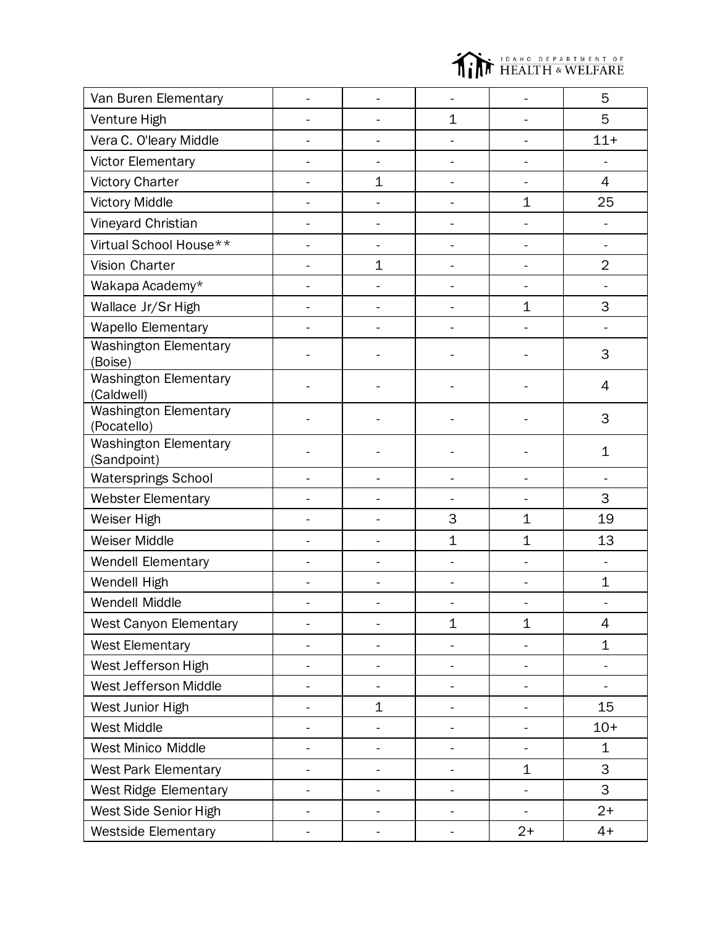

| Van Buren Elementary                        |                              |                |                              |                          | 5              |
|---------------------------------------------|------------------------------|----------------|------------------------------|--------------------------|----------------|
| Venture High                                |                              |                | $\mathbf 1$                  |                          | 5              |
| Vera C. O'leary Middle                      |                              |                |                              |                          | $11 +$         |
| <b>Victor Elementary</b>                    |                              |                |                              |                          |                |
| <b>Victory Charter</b>                      |                              | 1              |                              |                          | 4              |
| <b>Victory Middle</b>                       |                              |                |                              | $\mathbf 1$              | 25             |
| Vineyard Christian                          |                              |                |                              |                          |                |
| Virtual School House**                      |                              | -              |                              | ÷                        | ÷,             |
| Vision Charter                              |                              | 1              |                              |                          | $\overline{2}$ |
| Wakapa Academy*                             |                              |                |                              |                          |                |
| Wallace Jr/Sr High                          |                              | $\overline{a}$ | L.                           | $\mathbf 1$              | 3              |
| <b>Wapello Elementary</b>                   |                              |                |                              |                          |                |
| <b>Washington Elementary</b><br>(Boise)     |                              |                |                              |                          | 3              |
| <b>Washington Elementary</b><br>(Caldwell)  |                              |                |                              |                          | 4              |
| <b>Washington Elementary</b><br>(Pocatello) |                              |                |                              |                          | 3              |
| <b>Washington Elementary</b><br>(Sandpoint) |                              |                |                              |                          | 1              |
| <b>Watersprings School</b>                  |                              |                |                              | L                        |                |
| <b>Webster Elementary</b>                   |                              |                |                              |                          | 3              |
| Weiser High                                 |                              | $\overline{a}$ | 3                            | $\mathbf 1$              | 19             |
| Weiser Middle                               |                              |                | $\mathbf{1}$                 | $\mathbf 1$              | 13             |
| Wendell Elementary                          |                              | $\overline{a}$ |                              |                          |                |
| Wendell High                                |                              |                |                              |                          | $\mathbf 1$    |
| Wendell Middle                              |                              |                |                              |                          |                |
| <b>West Canyon Elementary</b>               |                              | -              | $\mathbf 1$                  | 1                        | 4              |
| <b>West Elementary</b>                      | $\overline{\phantom{0}}$     | ÷,             | $\overline{\phantom{0}}$     | $\overline{\phantom{0}}$ | $\mathbf 1$    |
| West Jefferson High                         | $\frac{1}{2}$                | -              | $\qquad \qquad \blacksquare$ | -                        | ÷,             |
| West Jefferson Middle                       | $\qquad \qquad \blacksquare$ | -              | $\overline{\phantom{0}}$     | -                        | ÷,             |
| West Junior High                            |                              | 1              | $\blacksquare$               | -                        | 15             |
| <b>West Middle</b>                          |                              | -              |                              | -                        | $10+$          |
| West Minico Middle                          | $\blacksquare$               | ÷,             | $\overline{\phantom{0}}$     | -                        | $\mathbf 1$    |
| <b>West Park Elementary</b>                 |                              |                |                              | 1                        | 3              |
| <b>West Ridge Elementary</b>                | $\overline{\phantom{0}}$     | -              | $\overline{\phantom{0}}$     | -                        | 3              |
| West Side Senior High                       |                              |                |                              |                          | $2+$           |
| <b>Westside Elementary</b>                  |                              |                |                              | $2+$                     | $4+$           |